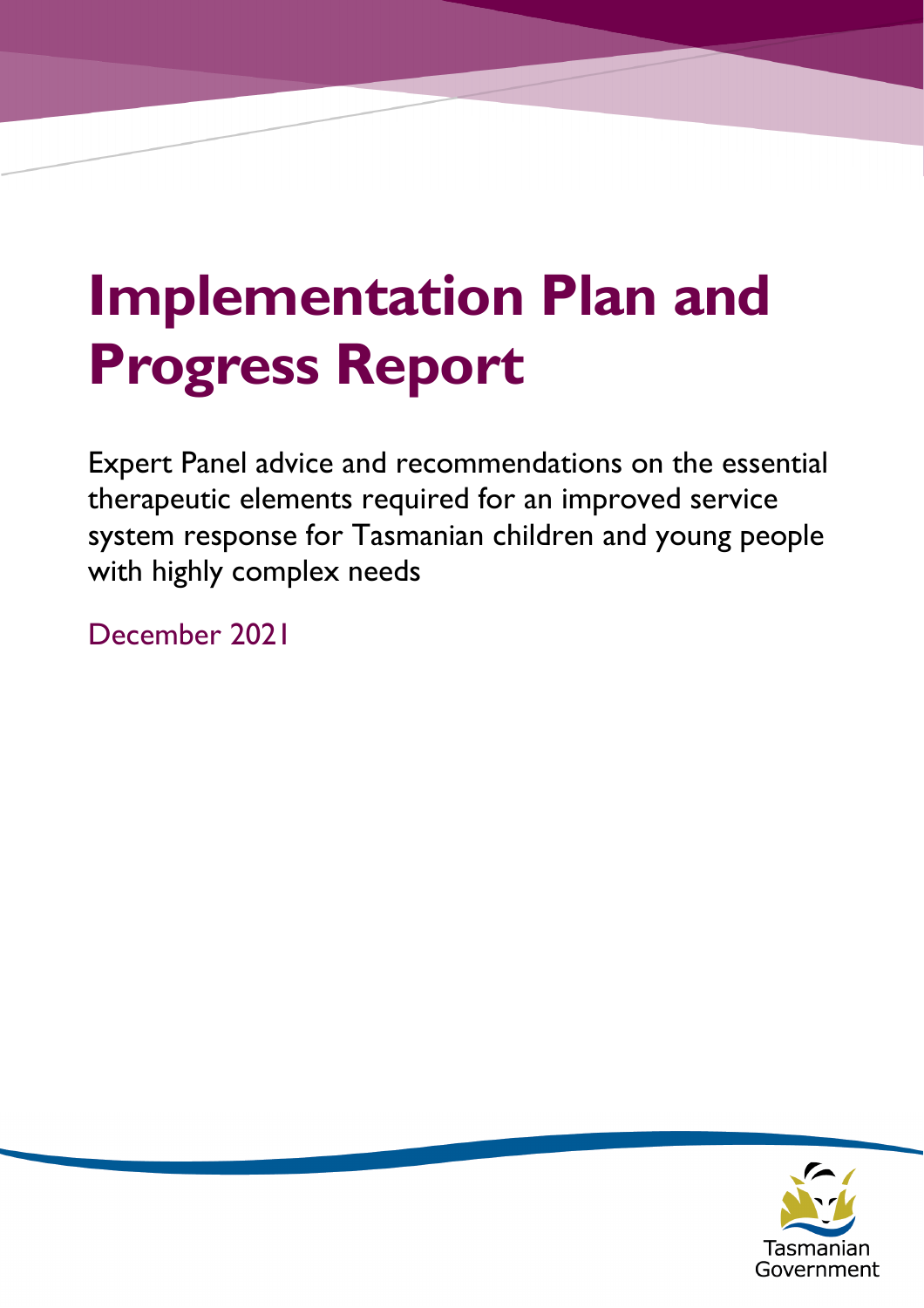# **Implementation Plan and Progress Report**

Expert Panel advice and recommendations on the essential therapeutic elements required for an improved service system response for Tasmanian children and young people with highly complex needs

December 2021

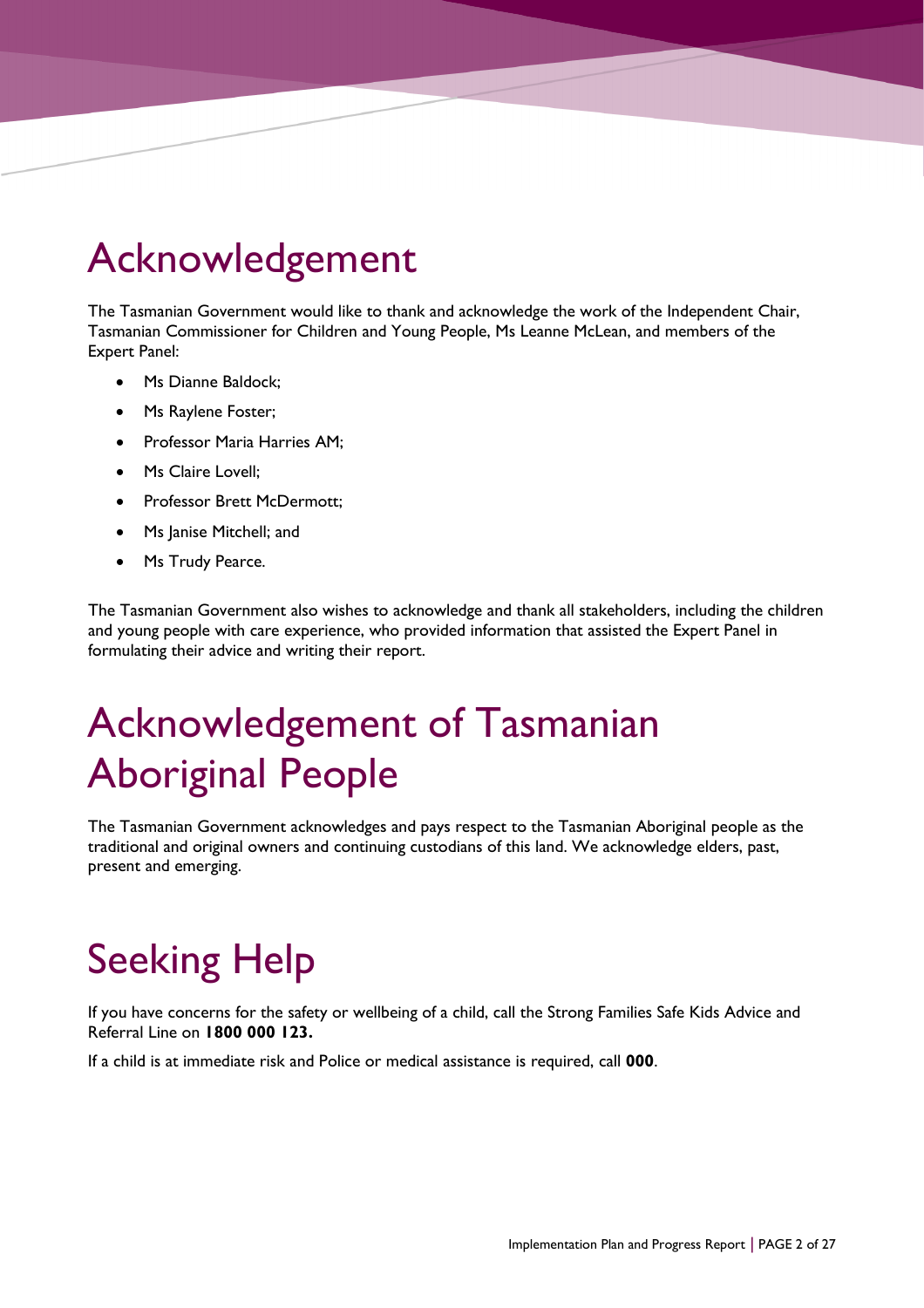## Acknowledgement

The Tasmanian Government would like to thank and acknowledge the work of the Independent Chair, Tasmanian Commissioner for Children and Young People, Ms Leanne McLean, and members of the Expert Panel:

- Ms Dianne Baldock;
- Ms Raylene Foster;
- Professor Maria Harries AM;
- Ms Claire Lovell;
- Professor Brett McDermott;
- Ms Janise Mitchell; and
- Ms Trudy Pearce.

The Tasmanian Government also wishes to acknowledge and thank all stakeholders, including the children and young people with care experience, who provided information that assisted the Expert Panel in formulating their advice and writing their report.

## Acknowledgement of Tasmanian Aboriginal People

The Tasmanian Government acknowledges and pays respect to the Tasmanian Aboriginal people as the traditional and original owners and continuing custodians of this land. We acknowledge elders, past, present and emerging.

## Seeking Help

If you have concerns for the safety or wellbeing of a child, call the Strong Families Safe Kids Advice and Referral Line on **1800 000 123.**

If a child is at immediate risk and Police or medical assistance is required, call **000**.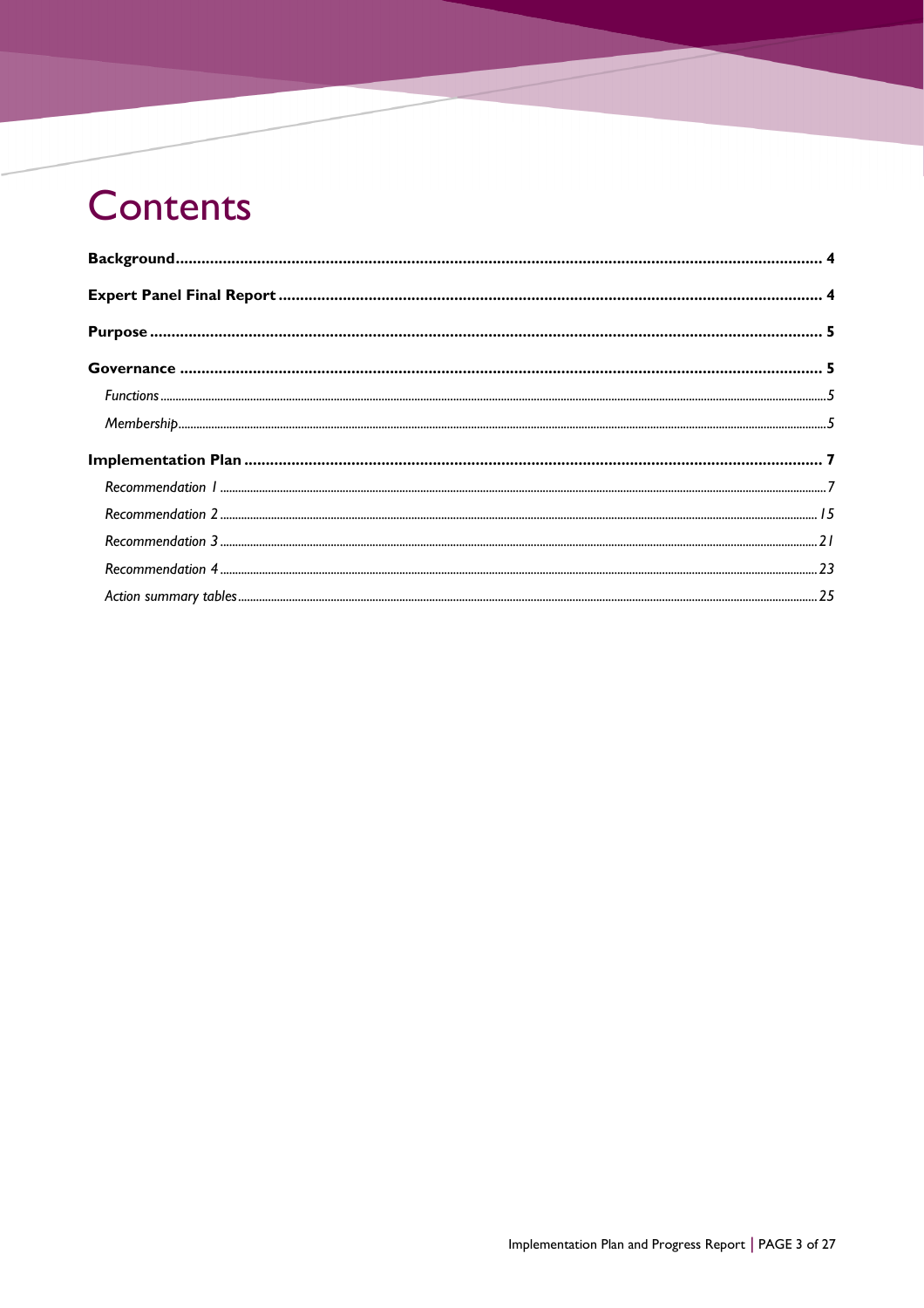## **Contents**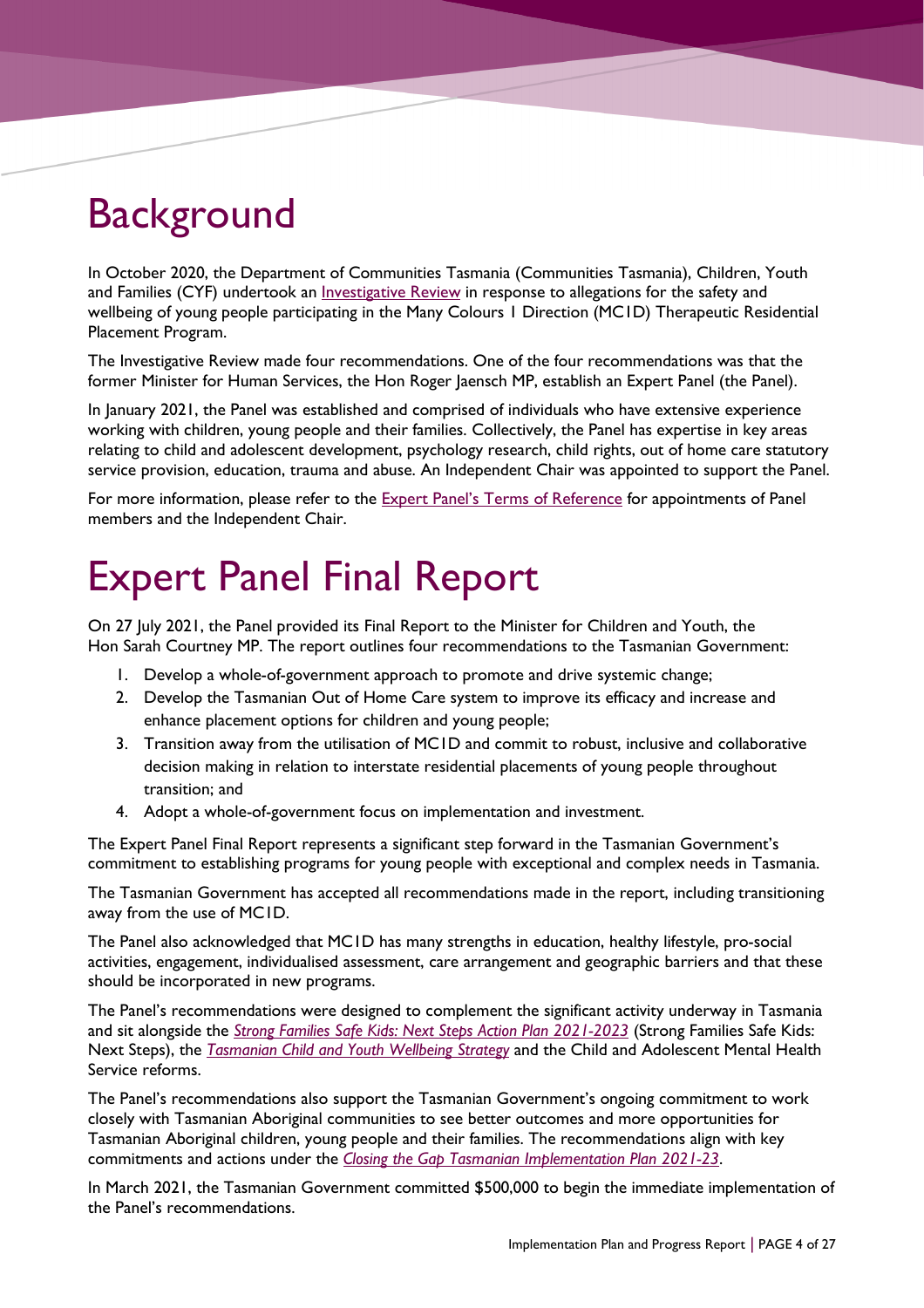## <span id="page-3-0"></span>**Background**

In October 2020, the Department of Communities Tasmania (Communities Tasmania), Children, Youth and Families (CYF) undertook an *Investigative Review* in response to allegations for the safety and wellbeing of young people participating in the Many Colours 1 Direction (MC1D) Therapeutic Residential Placement Program.

The Investigative Review made four recommendations. One of the four recommendations was that the former Minister for Human Services, the Hon Roger Jaensch MP, establish an Expert Panel (the Panel).

In January 2021, the Panel was established and comprised of individuals who have extensive experience working with children, young people and their families. Collectively, the Panel has expertise in key areas relating to child and adolescent development, psychology research, child rights, out of home care statutory service provision, education, trauma and abuse. An Independent Chair was appointed to support the Panel.

For more information, please refer to the **Expert Panel's Terms of Reference** for appointments of Panel members and the Independent Chair.

## <span id="page-3-1"></span>Expert Panel Final Report

On 27 July 2021, the Panel provided its Final Report to the Minister for Children and Youth, the Hon Sarah Courtney MP. The report outlines four recommendations to the Tasmanian Government:

- 1. Develop a whole-of-government approach to promote and drive systemic change;
- 2. Develop the Tasmanian Out of Home Care system to improve its efficacy and increase and enhance placement options for children and young people;
- 3. Transition away from the utilisation of MC1D and commit to robust, inclusive and collaborative decision making in relation to interstate residential placements of young people throughout transition; and
- 4. Adopt a whole-of-government focus on implementation and investment.

The Expert Panel Final Report represents a significant step forward in the Tasmanian Government's commitment to establishing programs for young people with exceptional and complex needs in Tasmania.

The Tasmanian Government has accepted all recommendations made in the report, including transitioning away from the use of MC1D.

The Panel also acknowledged that MC1D has many strengths in education, healthy lifestyle, pro-social activities, engagement, individualised assessment, care arrangement and geographic barriers and that these should be incorporated in new programs.

The Panel's recommendations were designed to complement the significant activity underway in Tasmania and sit alongside the *Strong Families Safe Kids: [Next Steps Action Plan 2021-2023](https://www.communities.tas.gov.au/__data/assets/pdf_file/0027/153756/SFSK-Action-Plan_wcag-Final-March-2021.pdf)* (Strong Families Safe Kids: Next Steps), the *[Tasmanian Child and Youth Wellbeing Strategy](https://hdp-au-prod-app-tas-shapewellbeing-files.s3.ap-southeast-2.amazonaws.com/7616/2968/9040/210301_Child_and_Youth_Wellbeing_Strategy_2021_wcag_FINAL.pdf)* and the Child and Adolescent Mental Health Service reforms.

The Panel's recommendations also support the Tasmanian Government's ongoing commitment to work closely with Tasmanian Aboriginal communities to see better outcomes and more opportunities for Tasmanian Aboriginal children, young people and their families. The recommendations align with key commitments and actions under the *[Closing the Gap Tasmanian Implementation Plan 2021-23](https://www.communities.tas.gov.au/__data/assets/pdf_file/0028/180478/Closing-the-Gap-Tasmanian-Implementation-Plan-August-2021.pdf)*.

In March 2021, the Tasmanian Government committed \$500,000 to begin the immediate implementation of the Panel's recommendations.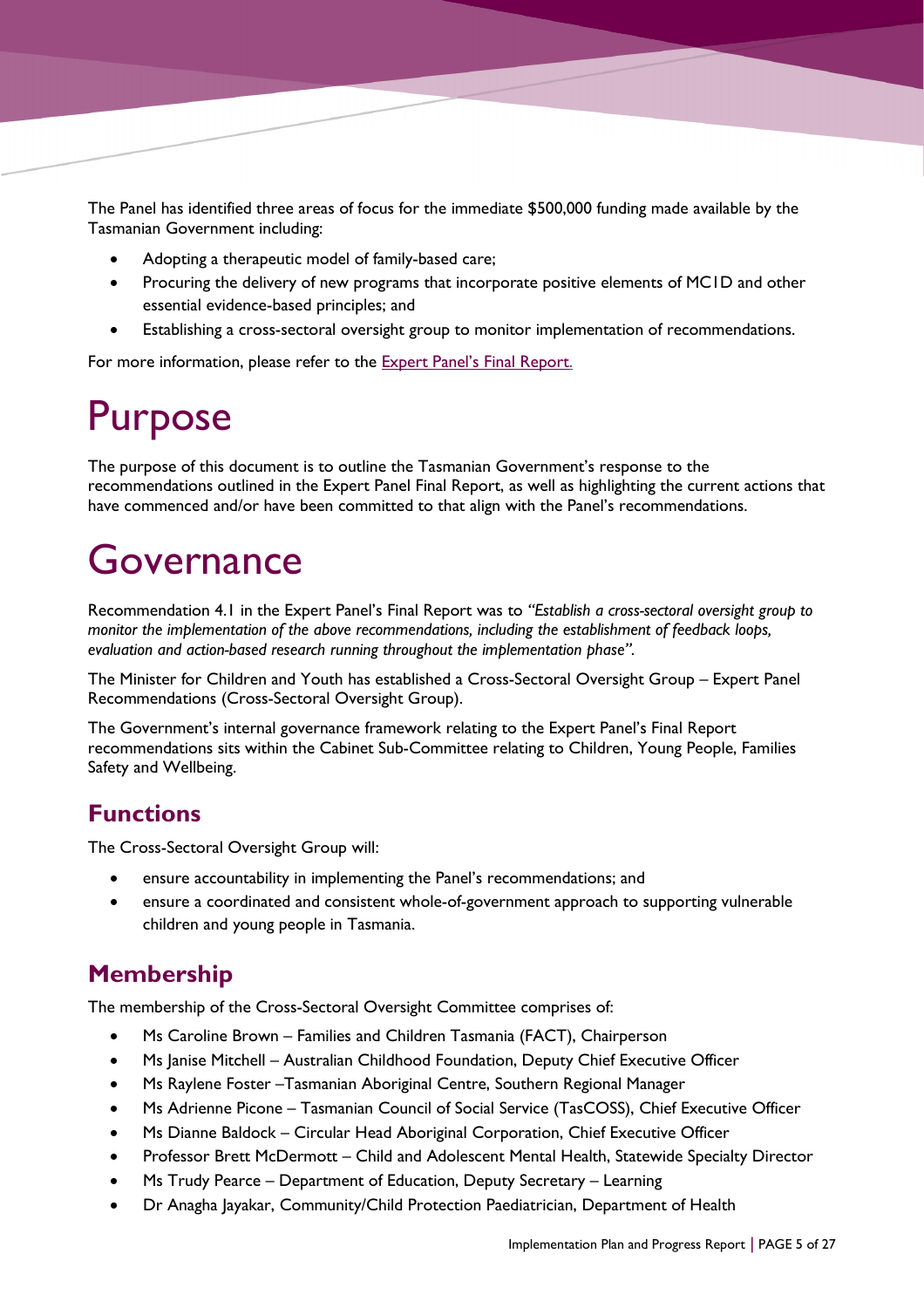The Panel has identified three areas of focus for the immediate \$500,000 funding made available by the Tasmanian Government including:

- Adopting a therapeutic model of family-based care;
- Procuring the delivery of new programs that incorporate positive elements of MC1D and other essential evidence-based principles; and
- Establishing a cross-sectoral oversight group to monitor implementation of recommendations.

For more information, please refer to the **Expert Panel's Final Report.** 

## <span id="page-4-0"></span>Purpose

The purpose of this document is to outline the Tasmanian Government's response to the recommendations outlined in the Expert Panel Final Report, as well as highlighting the current actions that have commenced and/or have been committed to that align with the Panel's recommendations.

## <span id="page-4-1"></span>Governance

Recommendation 4.1 in the Expert Panel's Final Report was to *"Establish a cross-sectoral oversight group to monitor the implementation of the above recommendations, including the establishment of feedback loops, evaluation and action-based research running throughout the implementation phase".*

The Minister for Children and Youth has established a Cross-Sectoral Oversight Group – Expert Panel Recommendations (Cross-Sectoral Oversight Group).

The Government's internal governance framework relating to the Expert Panel's Final Report recommendations sits within the Cabinet Sub-Committee relating to Children, Young People, Families Safety and Wellbeing.

## <span id="page-4-2"></span>**Functions**

The Cross-Sectoral Oversight Group will:

- ensure accountability in implementing the Panel's recommendations; and
- ensure a coordinated and consistent whole-of-government approach to supporting vulnerable children and young people in Tasmania.

## <span id="page-4-3"></span>**Membership**

The membership of the Cross-Sectoral Oversight Committee comprises of:

- Ms Caroline Brown Families and Children Tasmania (FACT), Chairperson
- Ms Janise Mitchell Australian Childhood Foundation, Deputy Chief Executive Officer
- Ms Raylene Foster –Tasmanian Aboriginal Centre, Southern Regional Manager
- Ms Adrienne Picone Tasmanian Council of Social Service (TasCOSS), Chief Executive Officer
- Ms Dianne Baldock Circular Head Aboriginal Corporation, Chief Executive Officer
- Professor Brett McDermott Child and Adolescent Mental Health, Statewide Specialty Director
- Ms Trudy Pearce Department of Education, Deputy Secretary Learning
- Dr Anagha Jayakar, Community/Child Protection Paediatrician, Department of Health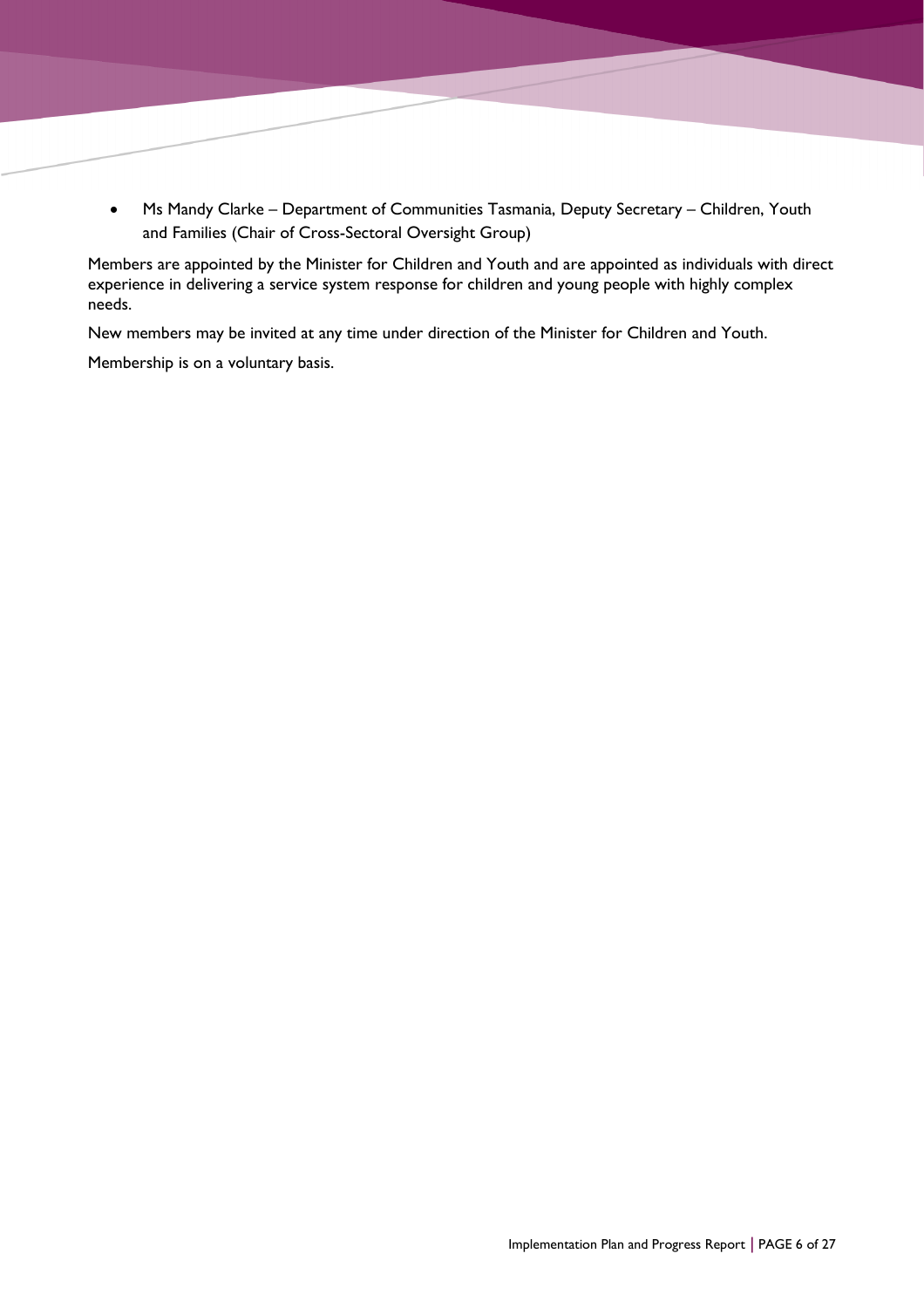• Ms Mandy Clarke – Department of Communities Tasmania, Deputy Secretary – Children, Youth and Families (Chair of Cross-Sectoral Oversight Group)

Members are appointed by the Minister for Children and Youth and are appointed as individuals with direct experience in delivering a service system response for children and young people with highly complex needs.

New members may be invited at any time under direction of the Minister for Children and Youth.

Membership is on a voluntary basis.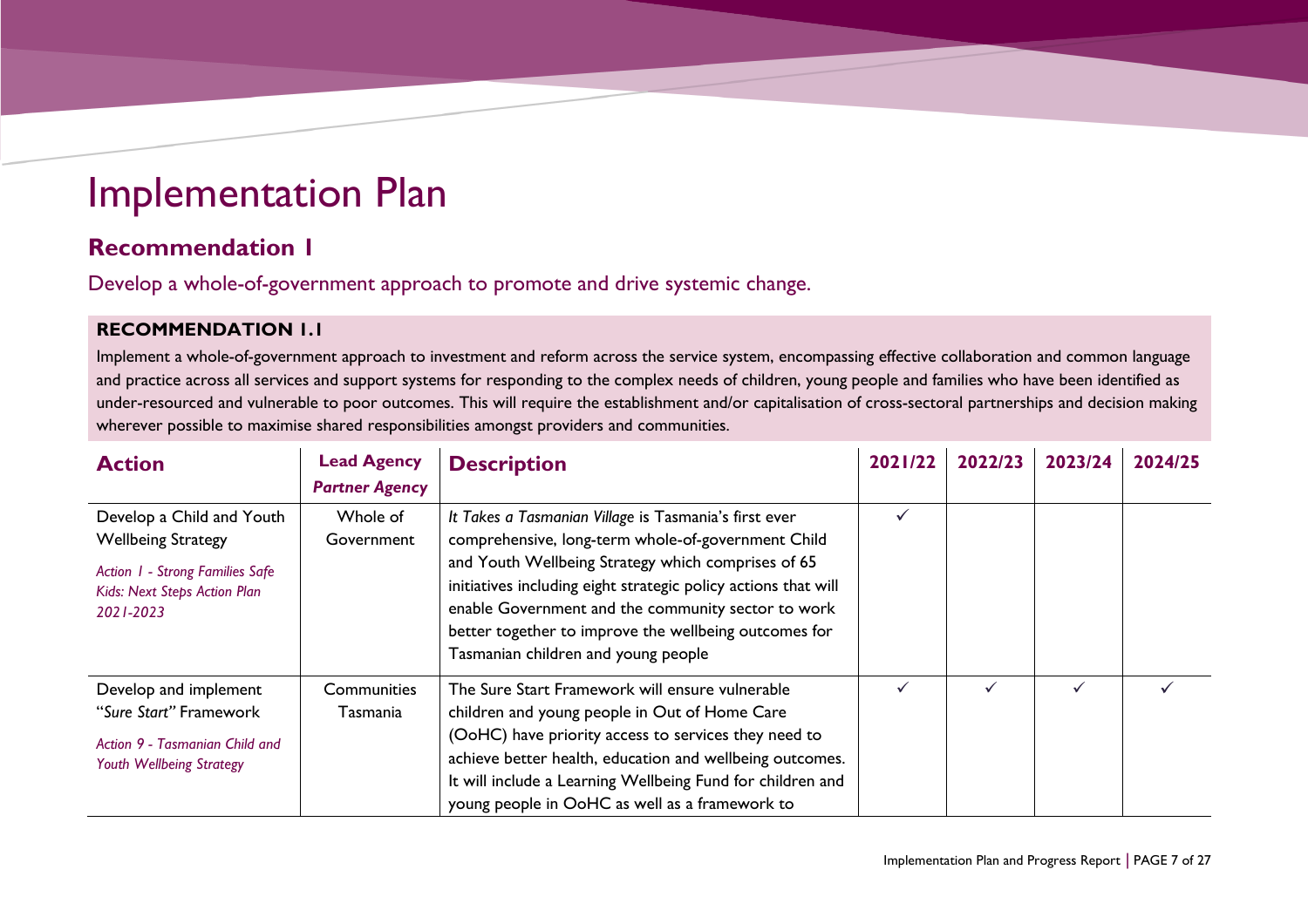## Implementation Plan

## **Recommendation 1**

Develop a whole-of-government approach to promote and drive systemic change.

### **RECOMMENDATION 1.1**

Implement a whole-of-government approach to investment and reform across the service system, encompassing effective collaboration and common language and practice across all services and support systems for responding to the complex needs of children, young people and families who have been identified as under-resourced and vulnerable to poor outcomes. This will require the establishment and/or capitalisation of cross-sectoral partnerships and decision making wherever possible to maximise shared responsibilities amongst providers and communities.

<span id="page-6-1"></span><span id="page-6-0"></span>

| <b>Action</b>                                                                                                                          | <b>Lead Agency</b><br><b>Partner Agency</b> | <b>Description</b>                                                                                                                                                                                                                                                                                                                                                                        | 2021/22 | 2022/23 | 2023/24 | 2024/25 |
|----------------------------------------------------------------------------------------------------------------------------------------|---------------------------------------------|-------------------------------------------------------------------------------------------------------------------------------------------------------------------------------------------------------------------------------------------------------------------------------------------------------------------------------------------------------------------------------------------|---------|---------|---------|---------|
| Develop a Child and Youth<br><b>Wellbeing Strategy</b><br>Action 1 - Strong Families Safe<br>Kids: Next Steps Action Plan<br>2021-2023 | Whole of<br>Government                      | It Takes a Tasmanian Village is Tasmania's first ever<br>comprehensive, long-term whole-of-government Child<br>and Youth Wellbeing Strategy which comprises of 65<br>initiatives including eight strategic policy actions that will<br>enable Government and the community sector to work<br>better together to improve the wellbeing outcomes for<br>Tasmanian children and young people | ✓       |         |         |         |
| Develop and implement<br>"Sure Start" Framework<br>Action 9 - Tasmanian Child and<br>Youth Wellbeing Strategy                          | Communities<br>Tasmania                     | The Sure Start Framework will ensure vulnerable<br>children and young people in Out of Home Care<br>(OoHC) have priority access to services they need to<br>achieve better health, education and wellbeing outcomes.<br>It will include a Learning Wellbeing Fund for children and<br>young people in OoHC as well as a framework to                                                      | ✓       |         |         |         |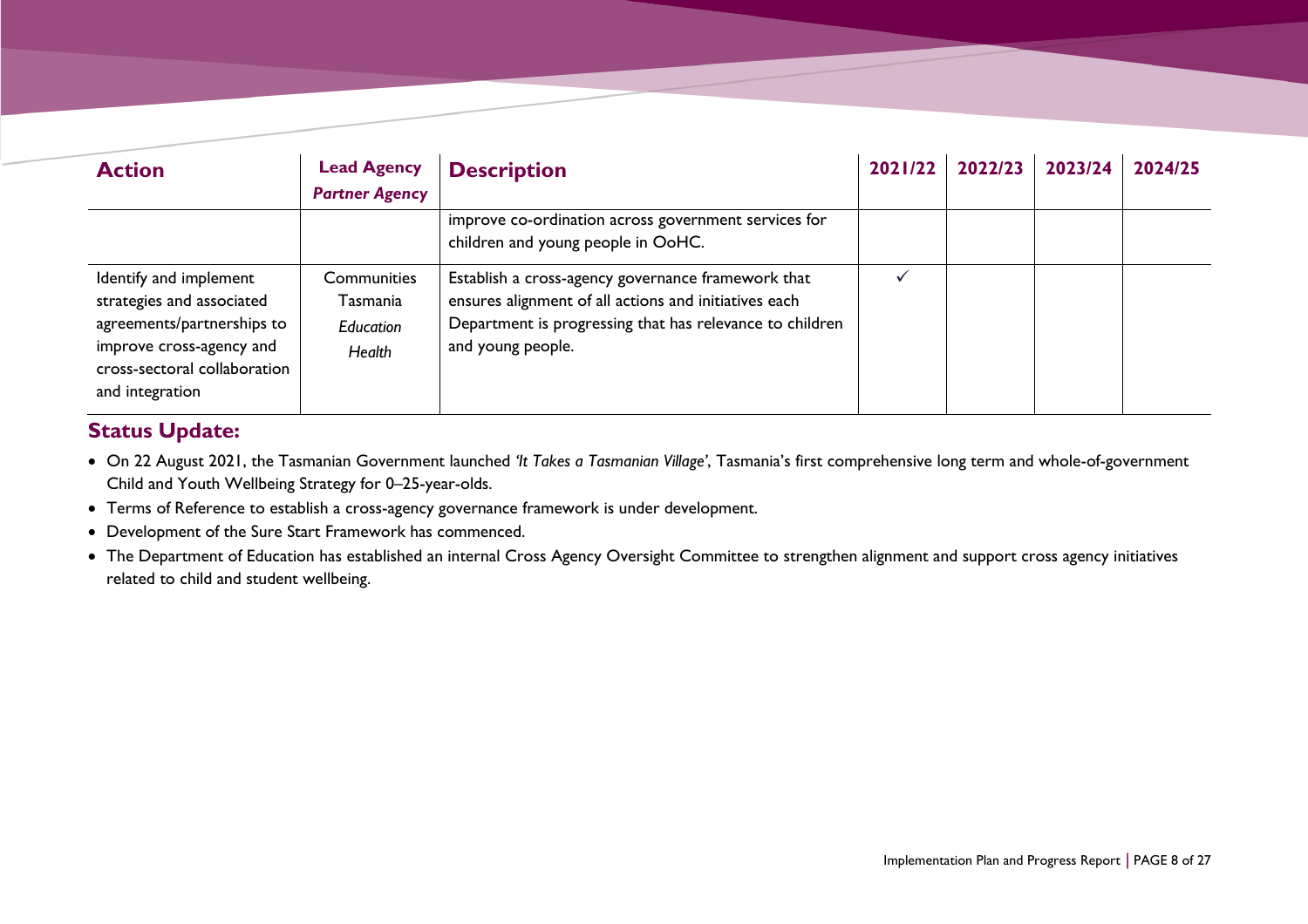| <b>Action</b>                                                                                                                                                    | <b>Lead Agency</b><br><b>Partner Agency</b>           | <b>Description</b>                                                                                                                                                                           | 2021/22 | 2022/23 | 2023/24 | 2024/25 |
|------------------------------------------------------------------------------------------------------------------------------------------------------------------|-------------------------------------------------------|----------------------------------------------------------------------------------------------------------------------------------------------------------------------------------------------|---------|---------|---------|---------|
|                                                                                                                                                                  |                                                       | improve co-ordination across government services for<br>children and young people in OoHC.                                                                                                   |         |         |         |         |
| Identify and implement<br>strategies and associated<br>agreements/partnerships to<br>improve cross-agency and<br>cross-sectoral collaboration<br>and integration | <b>Communities</b><br>Tasmania<br>Education<br>Health | Establish a cross-agency governance framework that<br>ensures alignment of all actions and initiatives each<br>Department is progressing that has relevance to children<br>and young people. |         |         |         |         |

- On 22 August 2021, the Tasmanian Government launched *'It Takes a Tasmanian Village'*, Tasmania's first comprehensive long term and whole-of-government Child and Youth Wellbeing Strategy for 0–25-year-olds.
- Terms of Reference to establish a cross-agency governance framework is under development.
- Development of the Sure Start Framework has commenced.
- The Department of Education has established an internal Cross Agency Oversight Committee to strengthen alignment and support cross agency initiatives related to child and student wellbeing.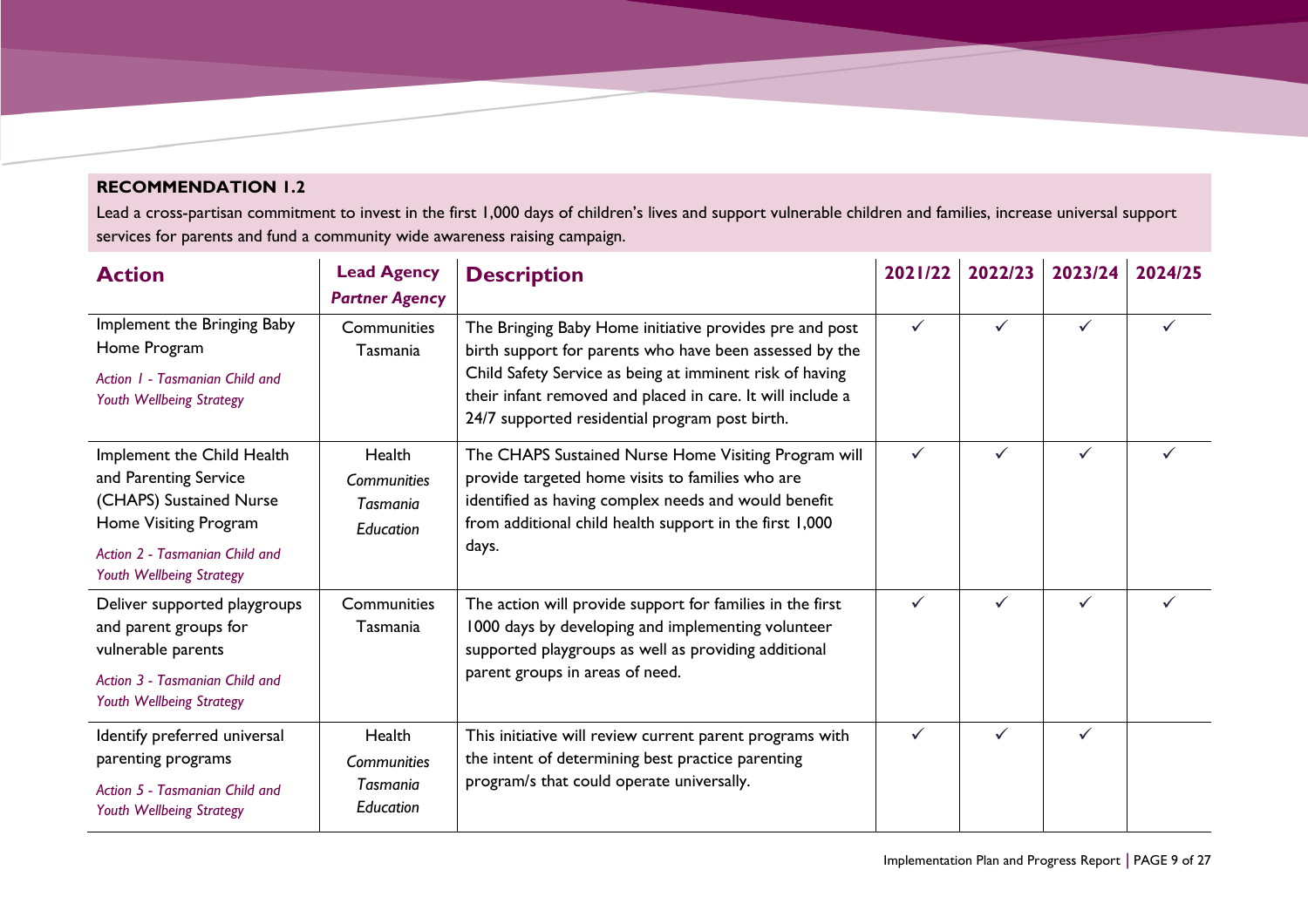### **RECOMMENDATION 1.2**

Lead a cross-partisan commitment to invest in the first 1,000 days of children's lives and support vulnerable children and families, increase universal support services for parents and fund a community wide awareness raising campaign.

| <b>Action</b>                                                                                                                                                         | <b>Lead Agency</b><br><b>Partner Agency</b>                  | <b>Description</b>                                                                                                                                                                                                                                                                             | 2021/22      | 2022/23      | 2023/24      | 2024/25 |
|-----------------------------------------------------------------------------------------------------------------------------------------------------------------------|--------------------------------------------------------------|------------------------------------------------------------------------------------------------------------------------------------------------------------------------------------------------------------------------------------------------------------------------------------------------|--------------|--------------|--------------|---------|
| Implement the Bringing Baby<br>Home Program<br>Action 1 - Tasmanian Child and<br>Youth Wellbeing Strategy                                                             | Communities<br>Tasmania                                      | The Bringing Baby Home initiative provides pre and post<br>birth support for parents who have been assessed by the<br>Child Safety Service as being at imminent risk of having<br>their infant removed and placed in care. It will include a<br>24/7 supported residential program post birth. |              |              | $\checkmark$ |         |
| Implement the Child Health<br>and Parenting Service<br>(CHAPS) Sustained Nurse<br>Home Visiting Program<br>Action 2 - Tasmanian Child and<br>Youth Wellbeing Strategy | Health<br>Communities<br>Tasmania<br>Education               | The CHAPS Sustained Nurse Home Visiting Program will<br>provide targeted home visits to families who are<br>identified as having complex needs and would benefit<br>from additional child health support in the first 1,000<br>days.                                                           | $\checkmark$ | $\checkmark$ | $\checkmark$ |         |
| Deliver supported playgroups<br>and parent groups for<br>vulnerable parents<br>Action 3 - Tasmanian Child and<br>Youth Wellbeing Strategy                             | Communities<br>Tasmania                                      | The action will provide support for families in the first<br>1000 days by developing and implementing volunteer<br>supported playgroups as well as providing additional<br>parent groups in areas of need.                                                                                     | ✓            |              | $\checkmark$ |         |
| Identify preferred universal<br>parenting programs<br>Action 5 - Tasmanian Child and<br>Youth Wellbeing Strategy                                                      | Health<br><b>Communities</b><br><b>Tasmania</b><br>Education | This initiative will review current parent programs with<br>the intent of determining best practice parenting<br>program/s that could operate universally.                                                                                                                                     |              | ✓            | $\checkmark$ |         |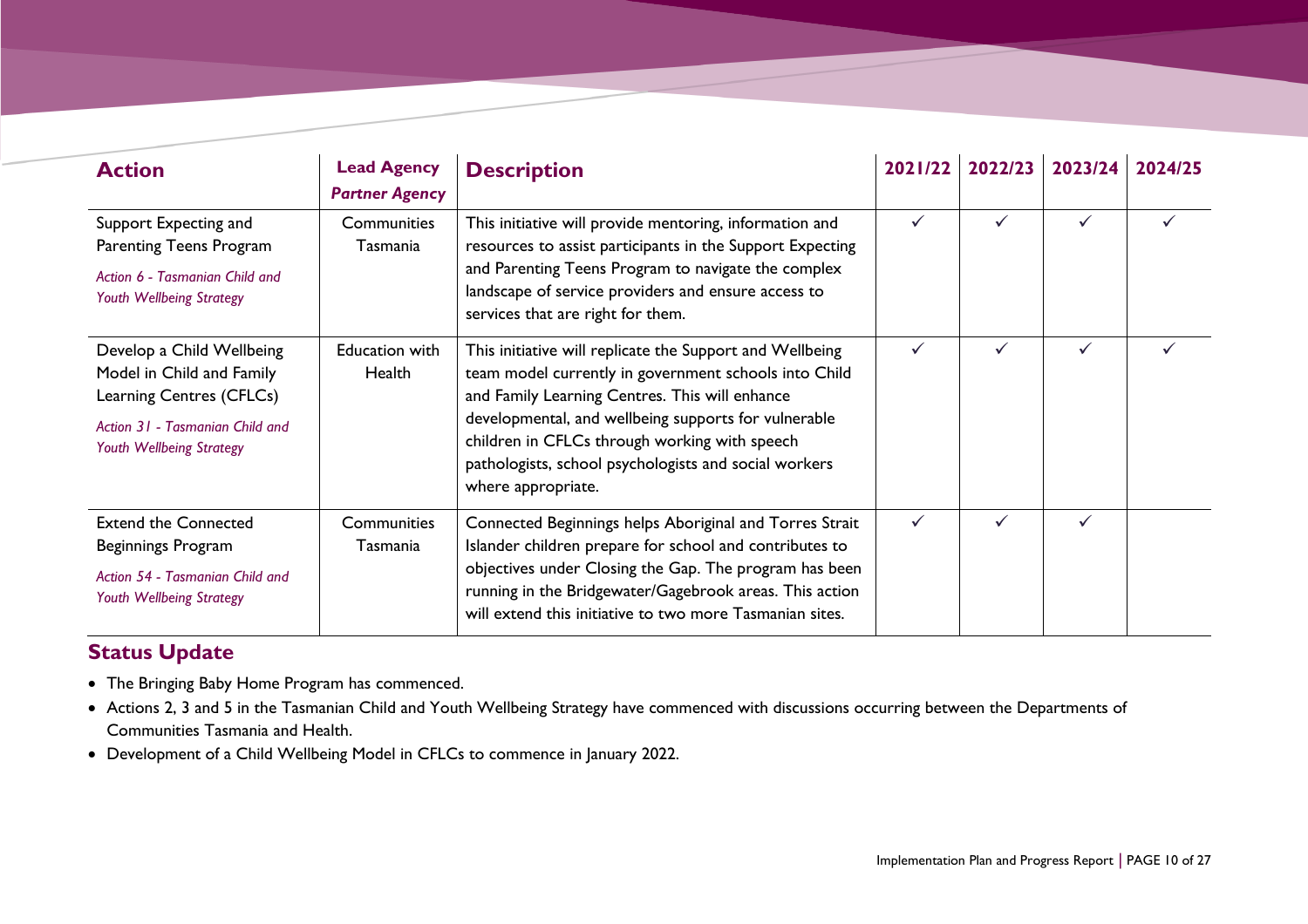| <b>Action</b>                                                                                                                                     | <b>Lead Agency</b><br><b>Partner Agency</b> | <b>Description</b>                                                                                                                                                                                                                                                                                                                                          | 2021/22 | 2022/23      | 2023/24 | 2024/25 |
|---------------------------------------------------------------------------------------------------------------------------------------------------|---------------------------------------------|-------------------------------------------------------------------------------------------------------------------------------------------------------------------------------------------------------------------------------------------------------------------------------------------------------------------------------------------------------------|---------|--------------|---------|---------|
| Support Expecting and<br>Parenting Teens Program<br>Action 6 - Tasmanian Child and<br>Youth Wellbeing Strategy                                    | Communities<br>Tasmania                     | This initiative will provide mentoring, information and<br>resources to assist participants in the Support Expecting<br>and Parenting Teens Program to navigate the complex<br>landscape of service providers and ensure access to<br>services that are right for them.                                                                                     |         | $\checkmark$ |         |         |
| Develop a Child Wellbeing<br>Model in Child and Family<br>Learning Centres (CFLCs)<br>Action 31 - Tasmanian Child and<br>Youth Wellbeing Strategy | Education with<br>Health                    | This initiative will replicate the Support and Wellbeing<br>team model currently in government schools into Child<br>and Family Learning Centres. This will enhance<br>developmental, and wellbeing supports for vulnerable<br>children in CFLCs through working with speech<br>pathologists, school psychologists and social workers<br>where appropriate. |         | $\checkmark$ | ✓       |         |
| <b>Extend the Connected</b><br>Beginnings Program<br>Action 54 - Tasmanian Child and<br>Youth Wellbeing Strategy                                  | Communities<br>Tasmania                     | Connected Beginnings helps Aboriginal and Torres Strait<br>Islander children prepare for school and contributes to<br>objectives under Closing the Gap. The program has been<br>running in the Bridgewater/Gagebrook areas. This action<br>will extend this initiative to two more Tasmanian sites.                                                         |         | ✓            |         |         |

- The Bringing Baby Home Program has commenced.
- Actions 2, 3 and 5 in the Tasmanian Child and Youth Wellbeing Strategy have commenced with discussions occurring between the Departments of Communities Tasmania and Health.
- Development of a Child Wellbeing Model in CFLCs to commence in January 2022.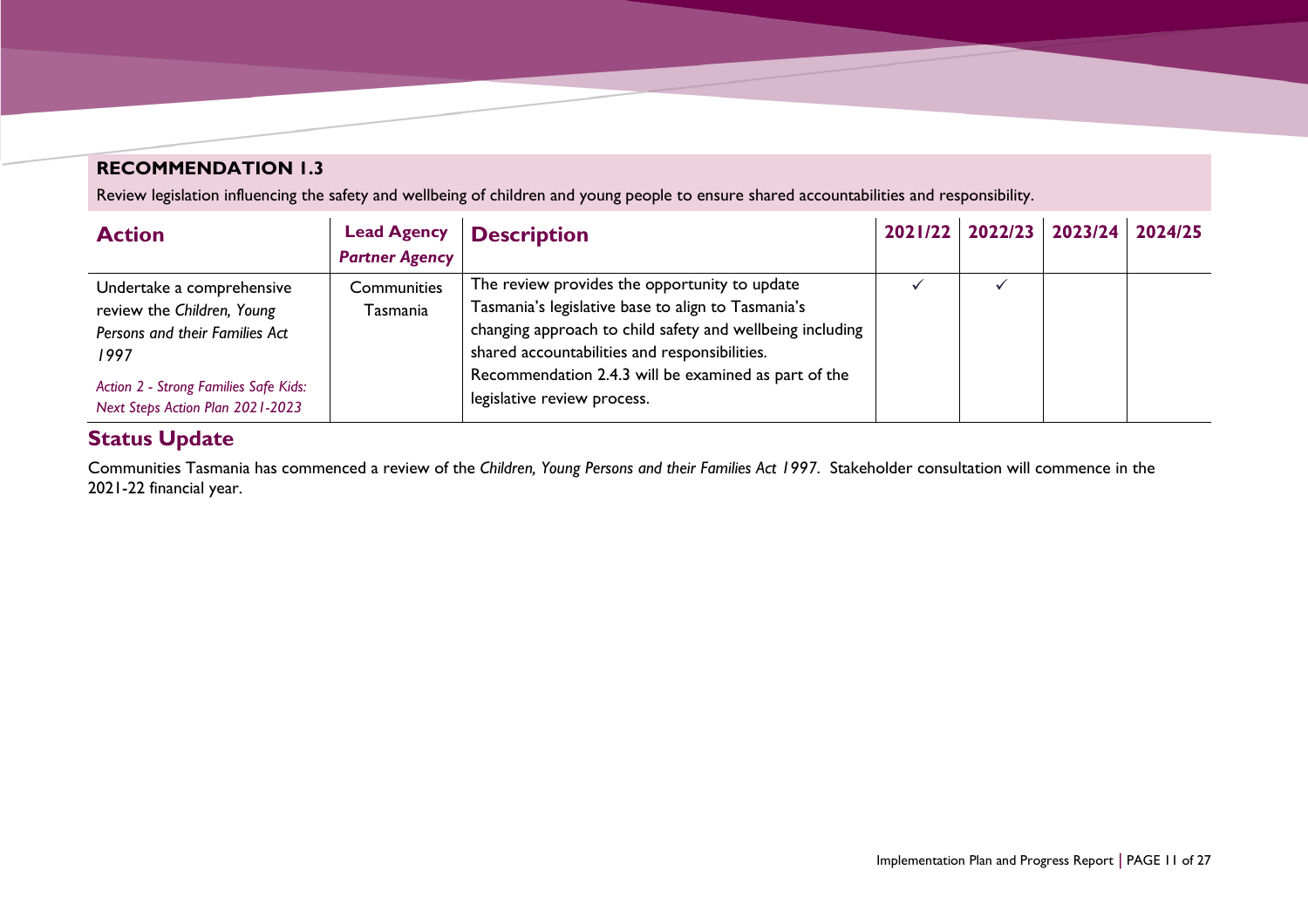## **RECOMMENDATION 1.3**

Review legislation influencing the safety and wellbeing of children and young people to ensure shared accountabilities and responsibility.

| <b>Action</b>                                                             | <b>Lead Agency</b>    | <b>Description</b>                                                                  |  | 2021/22 2022/23 2023/24 | 2024/25 |
|---------------------------------------------------------------------------|-----------------------|-------------------------------------------------------------------------------------|--|-------------------------|---------|
|                                                                           | <b>Partner Agency</b> |                                                                                     |  |                         |         |
| Undertake a comprehensive                                                 | Communities           | The review provides the opportunity to update                                       |  |                         |         |
| review the Children, Young                                                | Tasmania              | Tasmania's legislative base to align to Tasmania's                                  |  |                         |         |
| Persons and their Families Act                                            |                       | changing approach to child safety and wellbeing including                           |  |                         |         |
| 1997                                                                      |                       | shared accountabilities and responsibilities.                                       |  |                         |         |
| Action 2 - Strong Families Safe Kids:<br>Next Steps Action Plan 2021-2023 |                       | Recommendation 2.4.3 will be examined as part of the<br>legislative review process. |  |                         |         |

## **Status Update**

Communities Tasmania has commenced a review of the *Children, Young Persons and their Families Act 1997*. Stakeholder consultation will commence in the 2021-22 financial year.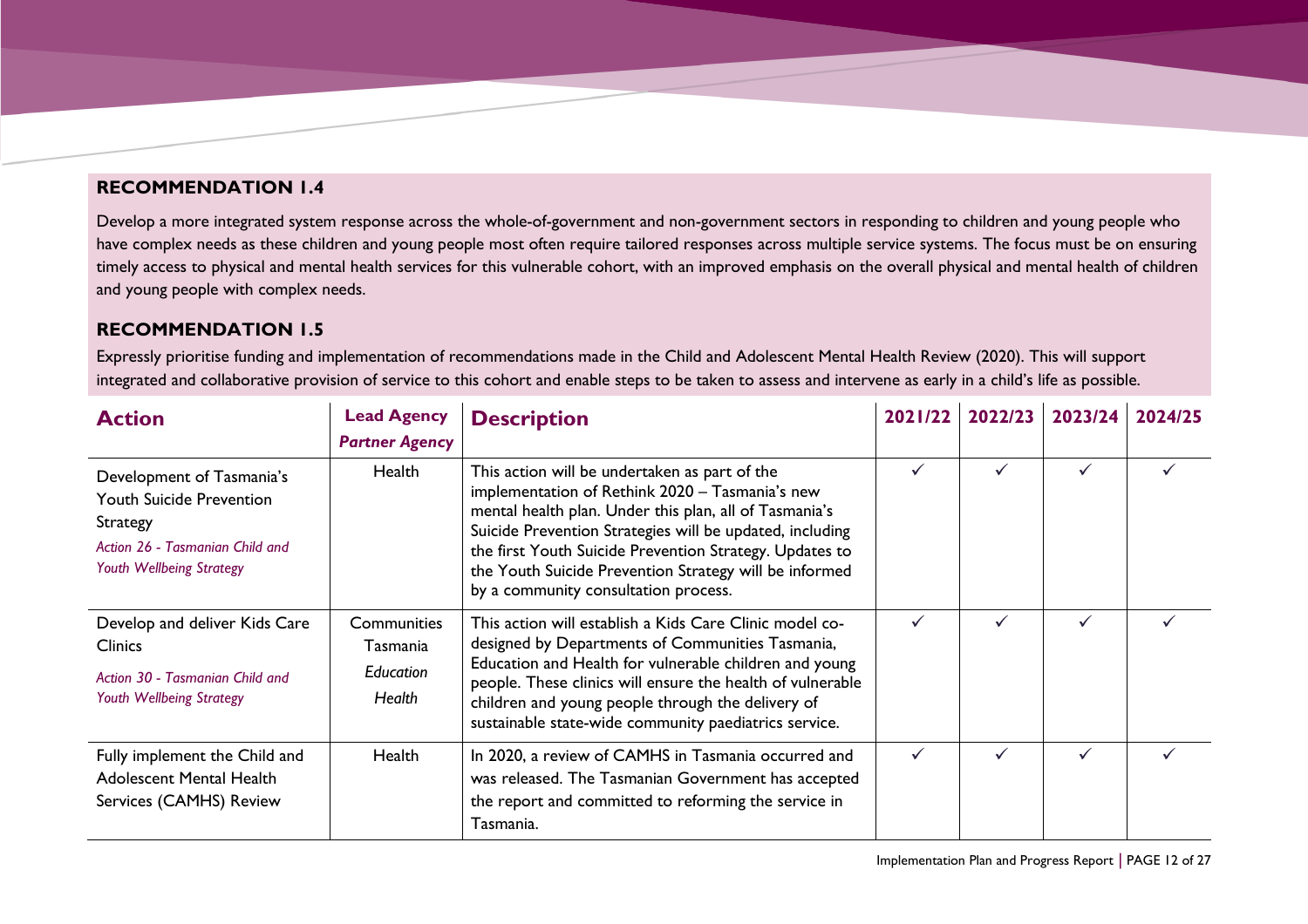#### **RECOMMENDATION 1.4**

Develop a more integrated system response across the whole-of-government and non-government sectors in responding to children and young people who have complex needs as these children and young people most often require tailored responses across multiple service systems. The focus must be on ensuring timely access to physical and mental health services for this vulnerable cohort, with an improved emphasis on the overall physical and mental health of children and young people with complex needs.

#### **RECOMMENDATION 1.5**

Expressly prioritise funding and implementation of recommendations made in the Child and Adolescent Mental Health Review (2020). This will support integrated and collaborative provision of service to this cohort and enable steps to be taken to assess and intervene as early in a child's life as possible.

| <b>Action</b>                                                                                                                                  | <b>Lead Agency</b><br><b>Partner Agency</b>           | <b>Description</b>                                                                                                                                                                                                                                                                                                                                                                  | 2021/22 | 2022/23      | 2023/24      | 2024/25 |
|------------------------------------------------------------------------------------------------------------------------------------------------|-------------------------------------------------------|-------------------------------------------------------------------------------------------------------------------------------------------------------------------------------------------------------------------------------------------------------------------------------------------------------------------------------------------------------------------------------------|---------|--------------|--------------|---------|
| Development of Tasmania's<br><b>Youth Suicide Prevention</b><br><b>Strategy</b><br>Action 26 - Tasmanian Child and<br>Youth Wellbeing Strategy | Health                                                | This action will be undertaken as part of the<br>implementation of Rethink 2020 - Tasmania's new<br>mental health plan. Under this plan, all of Tasmania's<br>Suicide Prevention Strategies will be updated, including<br>the first Youth Suicide Prevention Strategy. Updates to<br>the Youth Suicide Prevention Strategy will be informed<br>by a community consultation process. |         | $\checkmark$ | ✓            |         |
| Develop and deliver Kids Care<br><b>Clinics</b><br>Action 30 - Tasmanian Child and<br>Youth Wellbeing Strategy                                 | <b>Communities</b><br>Tasmania<br>Education<br>Health | This action will establish a Kids Care Clinic model co-<br>designed by Departments of Communities Tasmania,<br>Education and Health for vulnerable children and young<br>people. These clinics will ensure the health of vulnerable<br>children and young people through the delivery of<br>sustainable state-wide community paediatrics service.                                   |         | $\checkmark$ | ✓            |         |
| Fully implement the Child and<br><b>Adolescent Mental Health</b><br>Services (CAMHS) Review                                                    | Health                                                | In 2020, a review of CAMHS in Tasmania occurred and<br>was released. The Tasmanian Government has accepted<br>the report and committed to reforming the service in<br>Tasmania.                                                                                                                                                                                                     |         | $\checkmark$ | $\checkmark$ |         |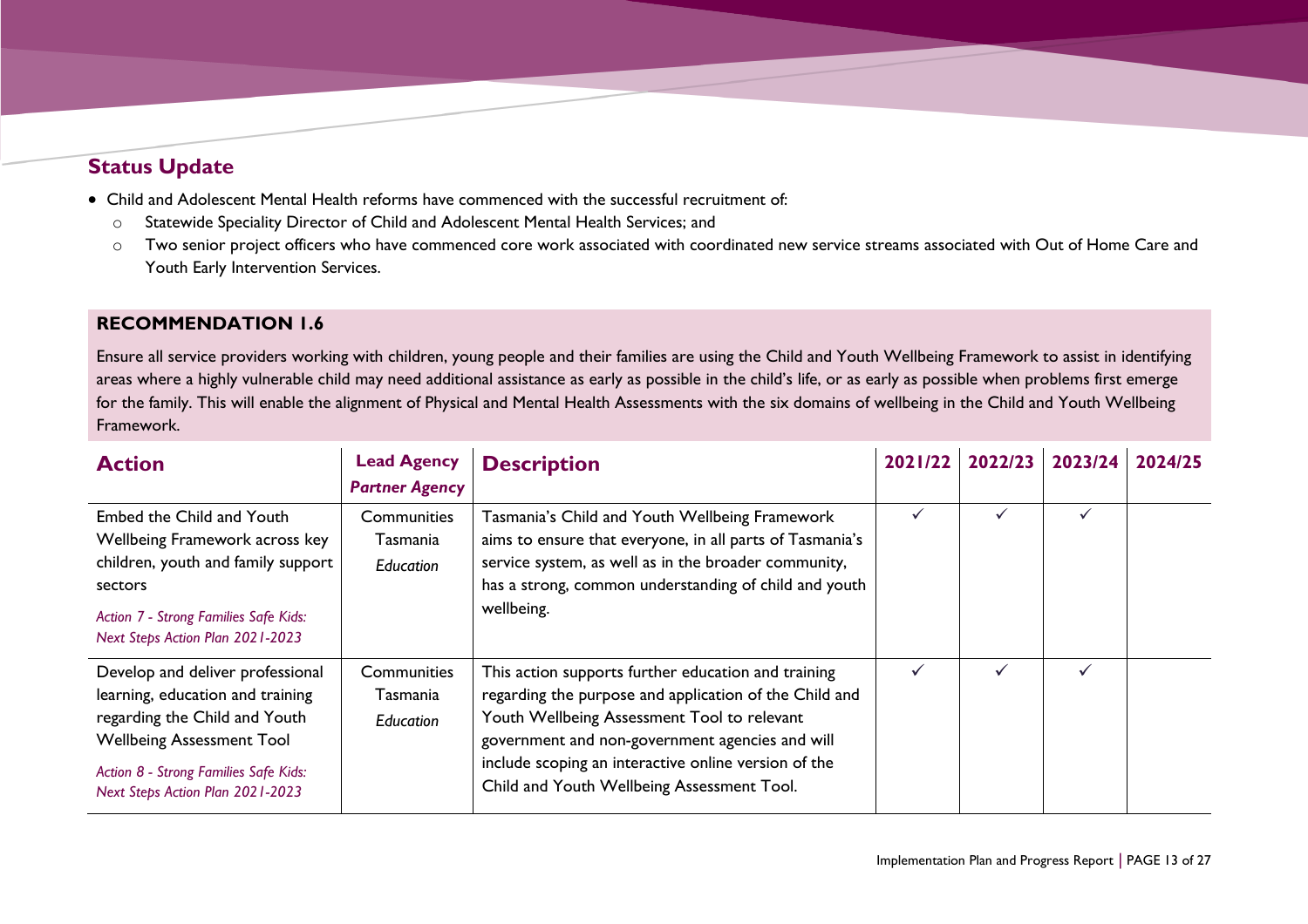- Child and Adolescent Mental Health reforms have commenced with the successful recruitment of:
	- o Statewide Speciality Director of Child and Adolescent Mental Health Services; and
	- o Two senior project officers who have commenced core work associated with coordinated new service streams associated with Out of Home Care and Youth Early Intervention Services.

### **RECOMMENDATION 1.6**

Ensure all service providers working with children, young people and their families are using the Child and Youth Wellbeing Framework to assist in identifying areas where a highly vulnerable child may need additional assistance as early as possible in the child's life, or as early as possible when problems first emerge for the family. This will enable the alignment of Physical and Mental Health Assessments with the six domains of wellbeing in the Child and Youth Wellbeing Framework.

| <b>Action</b>                                                                                                                                                                                                          | <b>Lead Agency</b><br><b>Partner Agency</b> | <b>Description</b>                                                                                                                                                                                                                                                                                                    | 2021/22 | 2022/23      | 2023/24 | 2024/25 |
|------------------------------------------------------------------------------------------------------------------------------------------------------------------------------------------------------------------------|---------------------------------------------|-----------------------------------------------------------------------------------------------------------------------------------------------------------------------------------------------------------------------------------------------------------------------------------------------------------------------|---------|--------------|---------|---------|
| Embed the Child and Youth<br>Wellbeing Framework across key<br>children, youth and family support<br>sectors<br>Action 7 - Strong Families Safe Kids:<br>Next Steps Action Plan 2021-2023                              | Communities<br>Tasmania<br>Education        | Tasmania's Child and Youth Wellbeing Framework<br>aims to ensure that everyone, in all parts of Tasmania's<br>service system, as well as in the broader community,<br>has a strong, common understanding of child and youth<br>wellbeing.                                                                             |         | $\checkmark$ | ✓       |         |
| Develop and deliver professional<br>learning, education and training<br>regarding the Child and Youth<br><b>Wellbeing Assessment Tool</b><br>Action 8 - Strong Families Safe Kids:<br>Next Steps Action Plan 2021-2023 | Communities<br>Tasmania<br><b>Education</b> | This action supports further education and training<br>regarding the purpose and application of the Child and<br>Youth Wellbeing Assessment Tool to relevant<br>government and non-government agencies and will<br>include scoping an interactive online version of the<br>Child and Youth Wellbeing Assessment Tool. |         |              |         |         |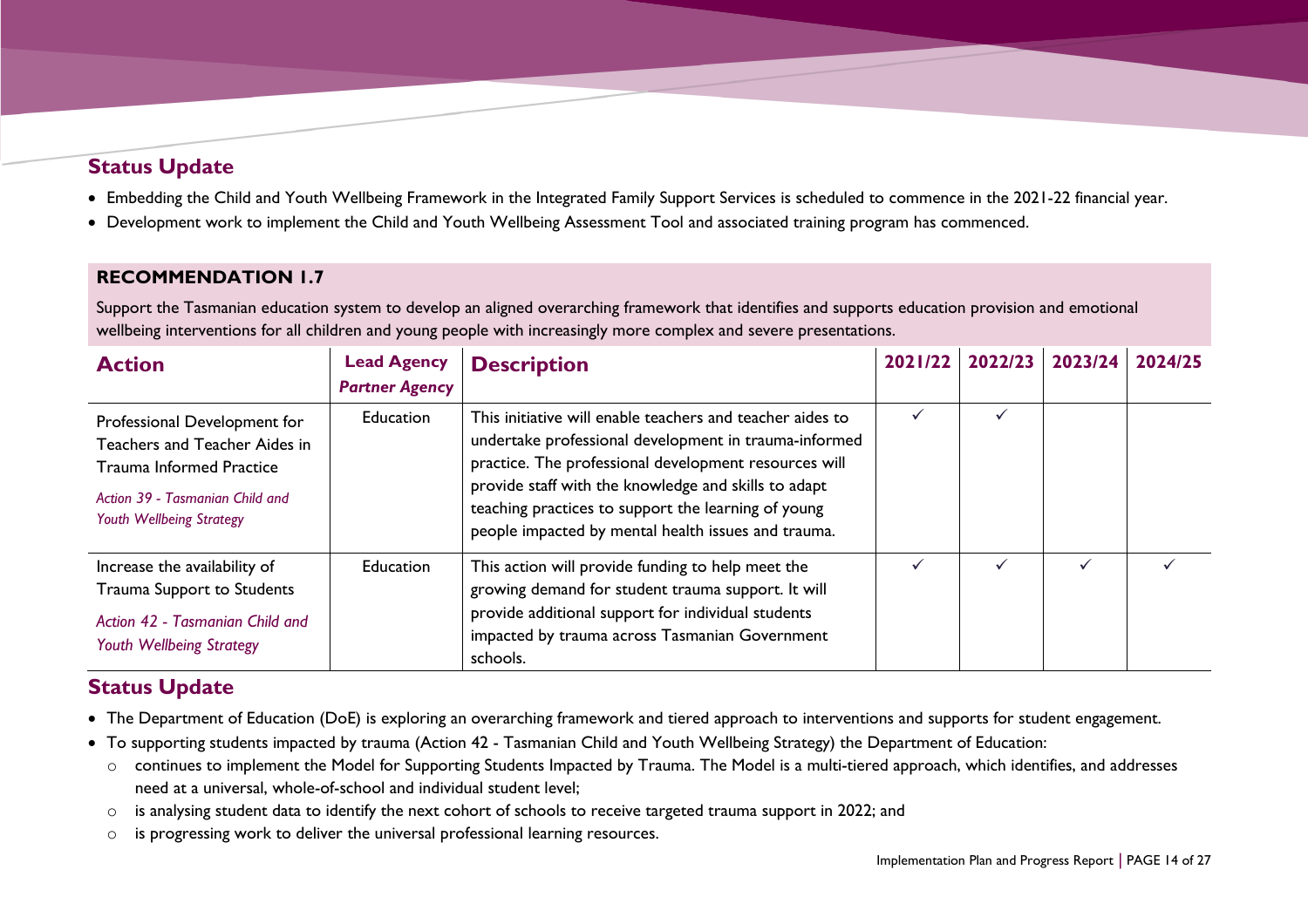- Embedding the Child and Youth Wellbeing Framework in the Integrated Family Support Services is scheduled to commence in the 2021-22 financial year.
- Development work to implement the Child and Youth Wellbeing Assessment Tool and associated training program has commenced.

### **RECOMMENDATION 1.7**

Support the Tasmanian education system to develop an aligned overarching framework that identifies and supports education provision and emotional wellbeing interventions for all children and young people with increasingly more complex and severe presentations.

| <b>Action</b>                                                                                                                                                   | <b>Lead Agency</b><br><b>Partner Agency</b> | <b>Description</b>                                                                                                                                                                                                                                                                                                                                | 2021/22 | 2022/23 | 2023/24 | 2024/25 |
|-----------------------------------------------------------------------------------------------------------------------------------------------------------------|---------------------------------------------|---------------------------------------------------------------------------------------------------------------------------------------------------------------------------------------------------------------------------------------------------------------------------------------------------------------------------------------------------|---------|---------|---------|---------|
| Professional Development for<br>Teachers and Teacher Aides in<br><b>Trauma Informed Practice</b><br>Action 39 - Tasmanian Child and<br>Youth Wellbeing Strategy | Education                                   | This initiative will enable teachers and teacher aides to<br>undertake professional development in trauma-informed<br>practice. The professional development resources will<br>provide staff with the knowledge and skills to adapt<br>teaching practices to support the learning of young<br>people impacted by mental health issues and trauma. |         |         |         |         |
| Increase the availability of<br>Trauma Support to Students<br>Action 42 - Tasmanian Child and<br>Youth Wellbeing Strategy                                       | <b>Education</b>                            | This action will provide funding to help meet the<br>growing demand for student trauma support. It will<br>provide additional support for individual students<br>impacted by trauma across Tasmanian Government<br>schools.                                                                                                                       |         |         |         |         |

## **Status Update**

- The Department of Education (DoE) is exploring an overarching framework and tiered approach to interventions and supports for student engagement.
- To supporting students impacted by trauma (Action 42 Tasmanian Child and Youth Wellbeing Strategy) the Department of Education:
	- o continues to implement the Model for Supporting Students Impacted by Trauma. The Model is a multi-tiered approach, which identifies, and addresses need at a universal, whole-of-school and individual student level;
	- o is analysing student data to identify the next cohort of schools to receive targeted trauma support in 2022; and
	- o is progressing work to deliver the universal professional learning resources.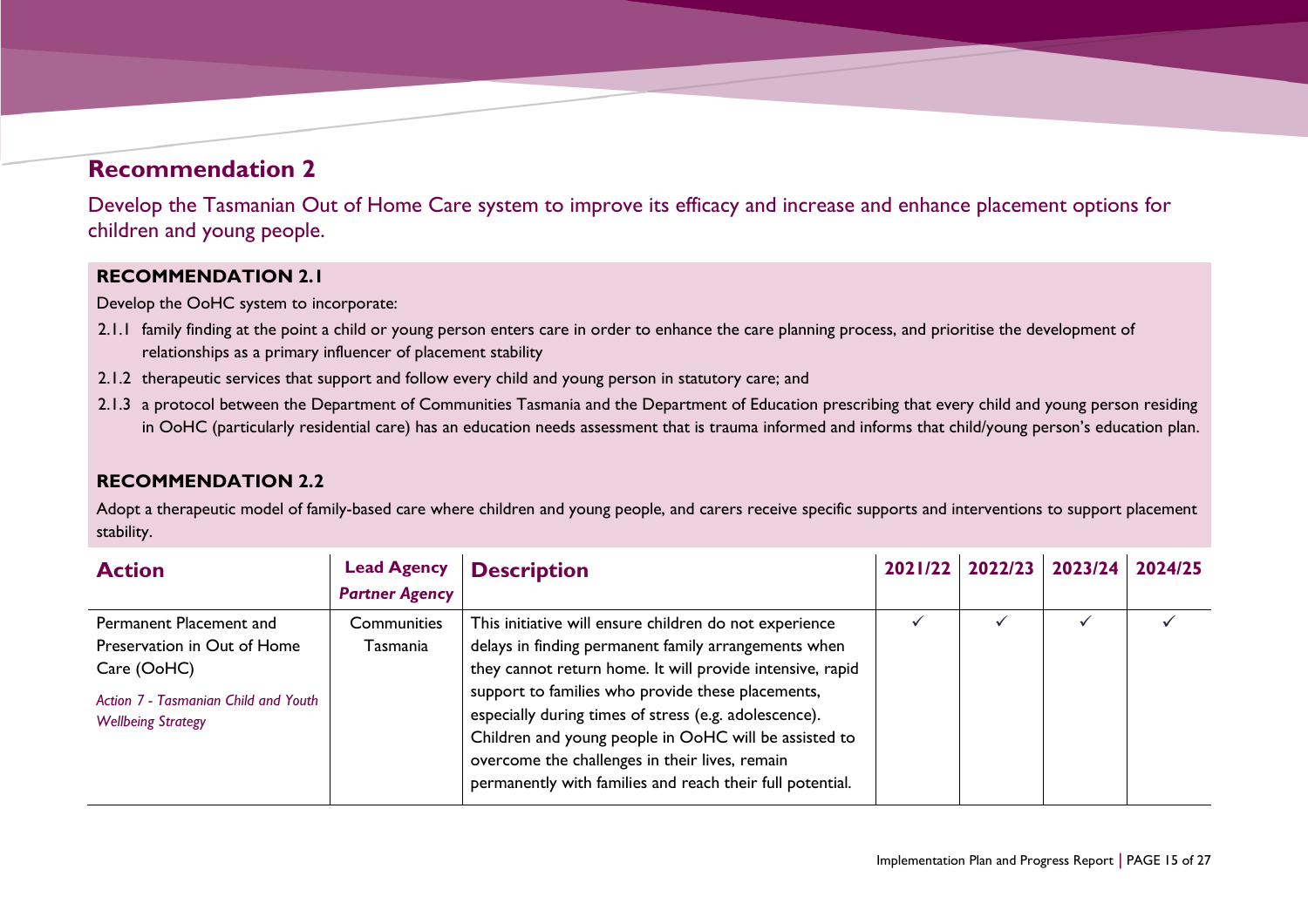## **Recommendation 2**

Develop the Tasmanian Out of Home Care system to improve its efficacy and increase and enhance placement options for children and young people.

#### **RECOMMENDATION 2.1**

Develop the OoHC system to incorporate:

- 2.1.1 family finding at the point a child or young person enters care in order to enhance the care planning process, and prioritise the development of relationships as a primary influencer of placement stability
- 2.1.2 therapeutic services that support and follow every child and young person in statutory care; and
- 2.1.3 a protocol between the Department of Communities Tasmania and the Department of Education prescribing that every child and young person residing in OoHC (particularly residential care) has an education needs assessment that is trauma informed and informs that child/young person's education plan.

### **RECOMMENDATION 2.2**

Adopt a therapeutic model of family-based care where children and young people, and carers receive specific supports and interventions to support placement stability.

<span id="page-14-0"></span>

| <b>Action</b>                                                                                                                              | <b>Lead Agency</b><br><b>Partner Agency</b> | <b>Description</b>                                                                                                                                                                                                                                                                                                                                                                                                                                                | 2021/22 2022/23 | 2023/24 | 2024/25 |
|--------------------------------------------------------------------------------------------------------------------------------------------|---------------------------------------------|-------------------------------------------------------------------------------------------------------------------------------------------------------------------------------------------------------------------------------------------------------------------------------------------------------------------------------------------------------------------------------------------------------------------------------------------------------------------|-----------------|---------|---------|
| Permanent Placement and<br>Preservation in Out of Home<br>Care (OoHC)<br>Action 7 - Tasmanian Child and Youth<br><b>Wellbeing Strategy</b> | Communities<br>Tasmania                     | This initiative will ensure children do not experience<br>delays in finding permanent family arrangements when<br>they cannot return home. It will provide intensive, rapid<br>support to families who provide these placements,<br>especially during times of stress (e.g. adolescence).<br>Children and young people in OoHC will be assisted to<br>overcome the challenges in their lives, remain<br>permanently with families and reach their full potential. |                 |         |         |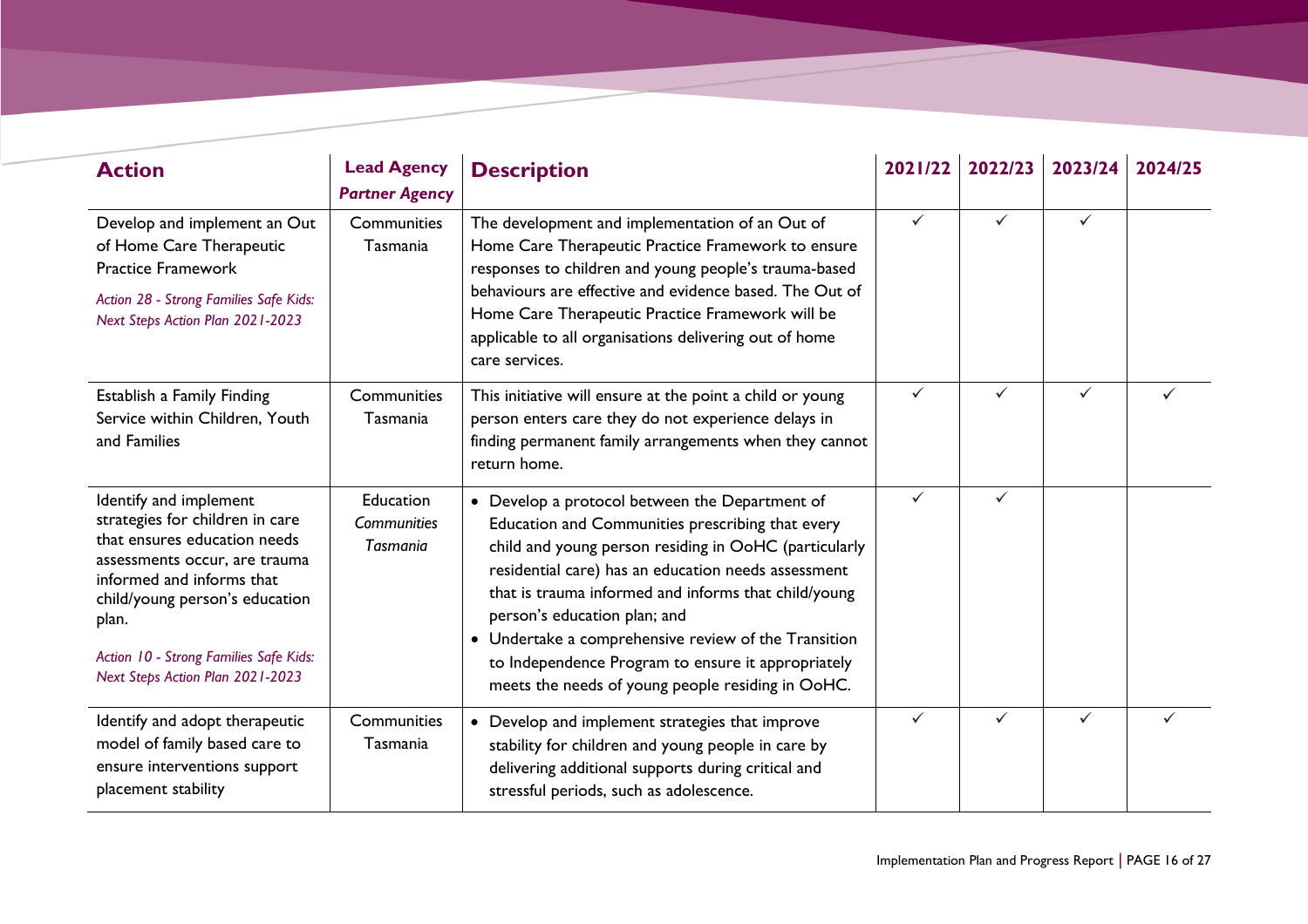| <b>Action</b>                                                                                                                                                                                                                                                                    | <b>Lead Agency</b><br><b>Partner Agency</b> | <b>Description</b>                                                                                                                                                                                                                                                                                                                                                                                                                                                            | 2021/22      | 2022/23      | 2023/24      | 2024/25 |
|----------------------------------------------------------------------------------------------------------------------------------------------------------------------------------------------------------------------------------------------------------------------------------|---------------------------------------------|-------------------------------------------------------------------------------------------------------------------------------------------------------------------------------------------------------------------------------------------------------------------------------------------------------------------------------------------------------------------------------------------------------------------------------------------------------------------------------|--------------|--------------|--------------|---------|
| Develop and implement an Out<br>of Home Care Therapeutic<br><b>Practice Framework</b><br>Action 28 - Strong Families Safe Kids:<br>Next Steps Action Plan 2021-2023                                                                                                              | Communities<br>Tasmania                     | The development and implementation of an Out of<br>Home Care Therapeutic Practice Framework to ensure<br>responses to children and young people's trauma-based<br>behaviours are effective and evidence based. The Out of<br>Home Care Therapeutic Practice Framework will be<br>applicable to all organisations delivering out of home<br>care services.                                                                                                                     | $\checkmark$ | ✓            | $\checkmark$ |         |
| Establish a Family Finding<br>Service within Children, Youth<br>and Families                                                                                                                                                                                                     | Communities<br>Tasmania                     | This initiative will ensure at the point a child or young<br>person enters care they do not experience delays in<br>finding permanent family arrangements when they cannot<br>return home.                                                                                                                                                                                                                                                                                    | $\checkmark$ | $\checkmark$ | $\checkmark$ |         |
| Identify and implement<br>strategies for children in care<br>that ensures education needs<br>assessments occur, are trauma<br>informed and informs that<br>child/young person's education<br>plan.<br>Action 10 - Strong Families Safe Kids:<br>Next Steps Action Plan 2021-2023 | Education<br>Communities<br><b>Tasmania</b> | • Develop a protocol between the Department of<br>Education and Communities prescribing that every<br>child and young person residing in OoHC (particularly<br>residential care) has an education needs assessment<br>that is trauma informed and informs that child/young<br>person's education plan; and<br>• Undertake a comprehensive review of the Transition<br>to Independence Program to ensure it appropriately<br>meets the needs of young people residing in OoHC. | ✓            | $\checkmark$ |              |         |
| Identify and adopt therapeutic<br>model of family based care to<br>ensure interventions support<br>placement stability                                                                                                                                                           | Communities<br>Tasmania                     | • Develop and implement strategies that improve<br>stability for children and young people in care by<br>delivering additional supports during critical and<br>stressful periods, such as adolescence.                                                                                                                                                                                                                                                                        | ✓            | ✓            | $\checkmark$ | ✓       |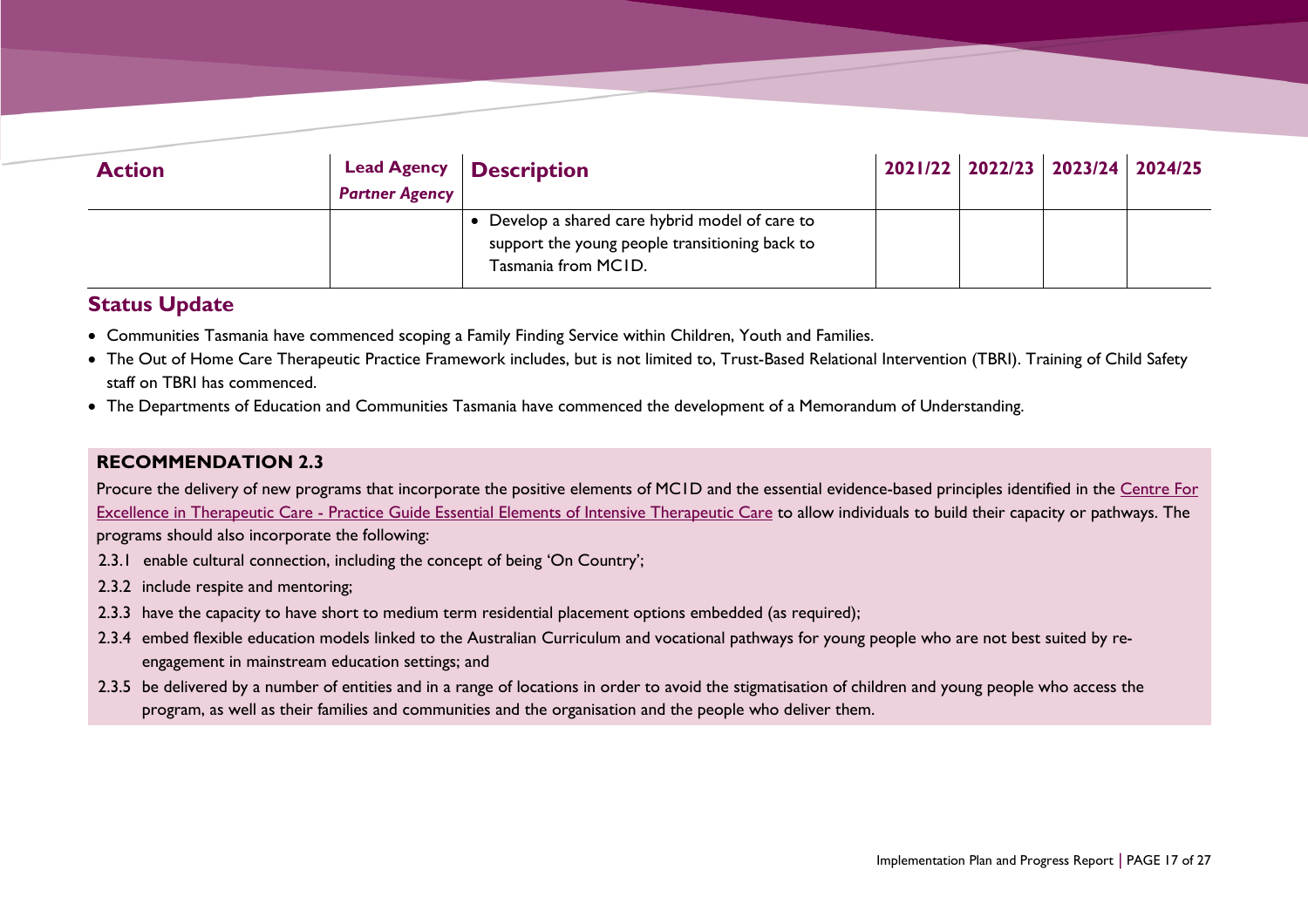| <b>Action</b> | <b>Partner Agency</b> | Lead Agency   Description                                                                                                |  | 2021/22 2022/23 2023/24 2024/25 |  |
|---------------|-----------------------|--------------------------------------------------------------------------------------------------------------------------|--|---------------------------------|--|
|               |                       | • Develop a shared care hybrid model of care to<br>support the young people transitioning back to<br>Tasmania from MCID. |  |                                 |  |

- Communities Tasmania have commenced scoping a Family Finding Service within Children, Youth and Families.
- The Out of Home Care Therapeutic Practice Framework includes, but is not limited to, Trust-Based Relational Intervention (TBRI). Training of Child Safety staff on TBRI has commenced.
- The Departments of Education and Communities Tasmania have commenced the development of a Memorandum of Understanding.

#### **RECOMMENDATION 2.3**

Procure the delivery of new programs that incorporate the positive elements of MC1D and the essential evidence-based principles identified in the Centre For Excellence in Therapeutic Care - [Practice Guide Essential Elements of Intensive Therapeutic Care](https://cetc.org.au/app/uploads/2019/03/CETC-Practice-Guide-10-Essential-Elements.pdf) to allow individuals to build their capacity or pathways. The programs should also incorporate the following:

- 2.3.1 enable cultural connection, including the concept of being 'On Country';
- 2.3.2 include respite and mentoring;
- 2.3.3 have the capacity to have short to medium term residential placement options embedded (as required);
- 2.3.4 embed flexible education models linked to the Australian Curriculum and vocational pathways for young people who are not best suited by reengagement in mainstream education settings; and
- 2.3.5 be delivered by a number of entities and in a range of locations in order to avoid the stigmatisation of children and young people who access the program, as well as their families and communities and the organisation and the people who deliver them.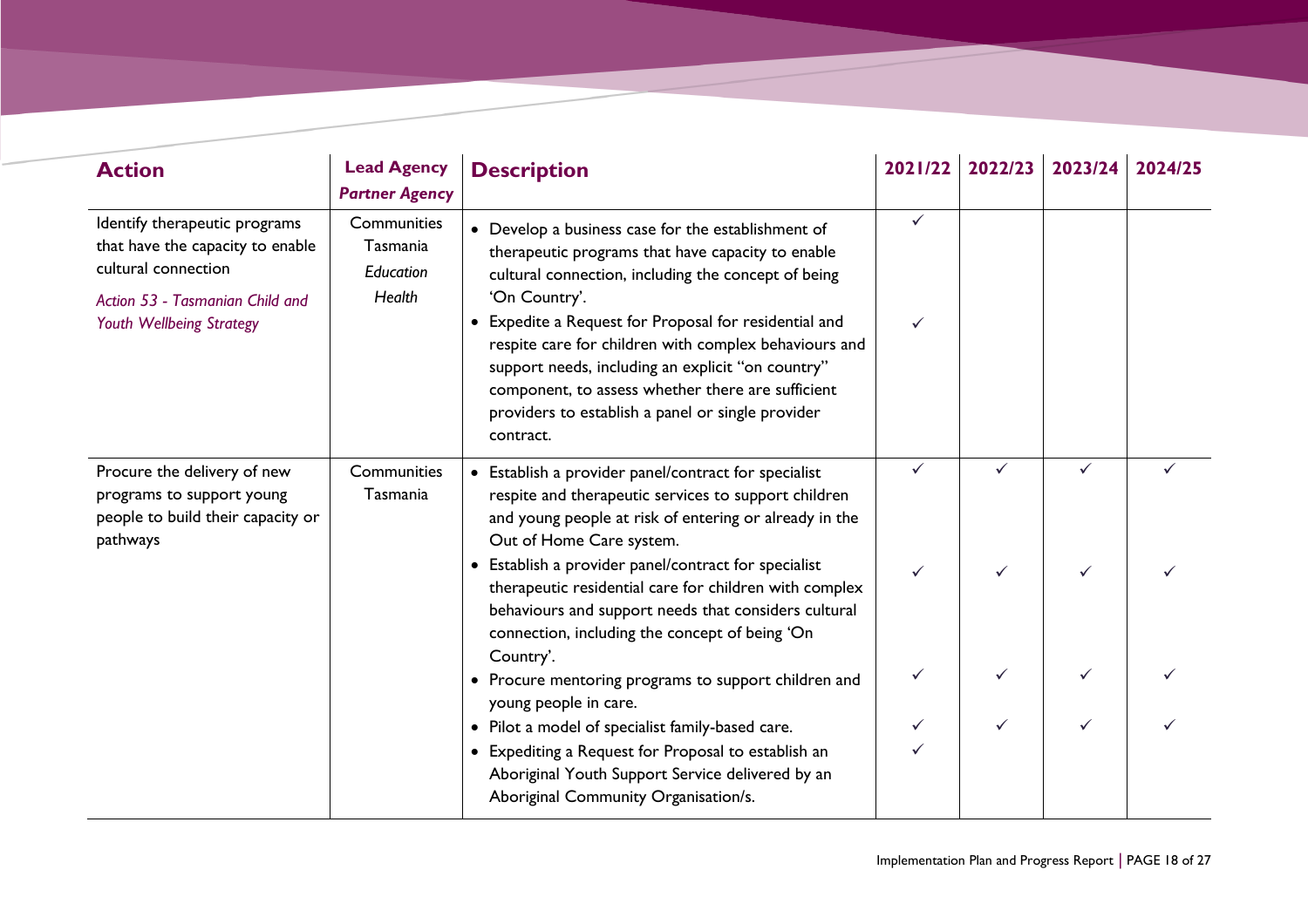| <b>Action</b>                                                                                                                                           | <b>Lead Agency</b><br><b>Partner Agency</b>                                   | <b>Description</b>                                                                                                                                                                                                                                                                                                                                                                                                                                                            | 2021/22      | 2022/23      | 2023/24 | 2024/25 |
|---------------------------------------------------------------------------------------------------------------------------------------------------------|-------------------------------------------------------------------------------|-------------------------------------------------------------------------------------------------------------------------------------------------------------------------------------------------------------------------------------------------------------------------------------------------------------------------------------------------------------------------------------------------------------------------------------------------------------------------------|--------------|--------------|---------|---------|
| Identify therapeutic programs<br>that have the capacity to enable<br>cultural connection<br>Action 53 - Tasmanian Child and<br>Youth Wellbeing Strategy | Communities<br>Tasmania<br>Education<br>Health                                | • Develop a business case for the establishment of<br>therapeutic programs that have capacity to enable<br>cultural connection, including the concept of being<br>'On Country'.<br>• Expedite a Request for Proposal for residential and<br>respite care for children with complex behaviours and<br>support needs, including an explicit "on country"<br>component, to assess whether there are sufficient<br>providers to establish a panel or single provider<br>contract. | ✓            |              |         |         |
| Procure the delivery of new<br>programs to support young<br>people to build their capacity or<br>pathways                                               | Communities<br>Tasmania                                                       | • Establish a provider panel/contract for specialist<br>respite and therapeutic services to support children<br>and young people at risk of entering or already in the<br>Out of Home Care system.                                                                                                                                                                                                                                                                            | $\checkmark$ | $\checkmark$ | ✓       |         |
|                                                                                                                                                         |                                                                               | • Establish a provider panel/contract for specialist<br>therapeutic residential care for children with complex<br>behaviours and support needs that considers cultural<br>connection, including the concept of being 'On<br>Country'.                                                                                                                                                                                                                                         |              |              |         |         |
|                                                                                                                                                         | • Procure mentoring programs to support children and<br>young people in care. |                                                                                                                                                                                                                                                                                                                                                                                                                                                                               |              |              |         |         |
|                                                                                                                                                         |                                                                               | • Pilot a model of specialist family-based care.<br>• Expediting a Request for Proposal to establish an<br>Aboriginal Youth Support Service delivered by an<br>Aboriginal Community Organisation/s.                                                                                                                                                                                                                                                                           |              | ✓            |         |         |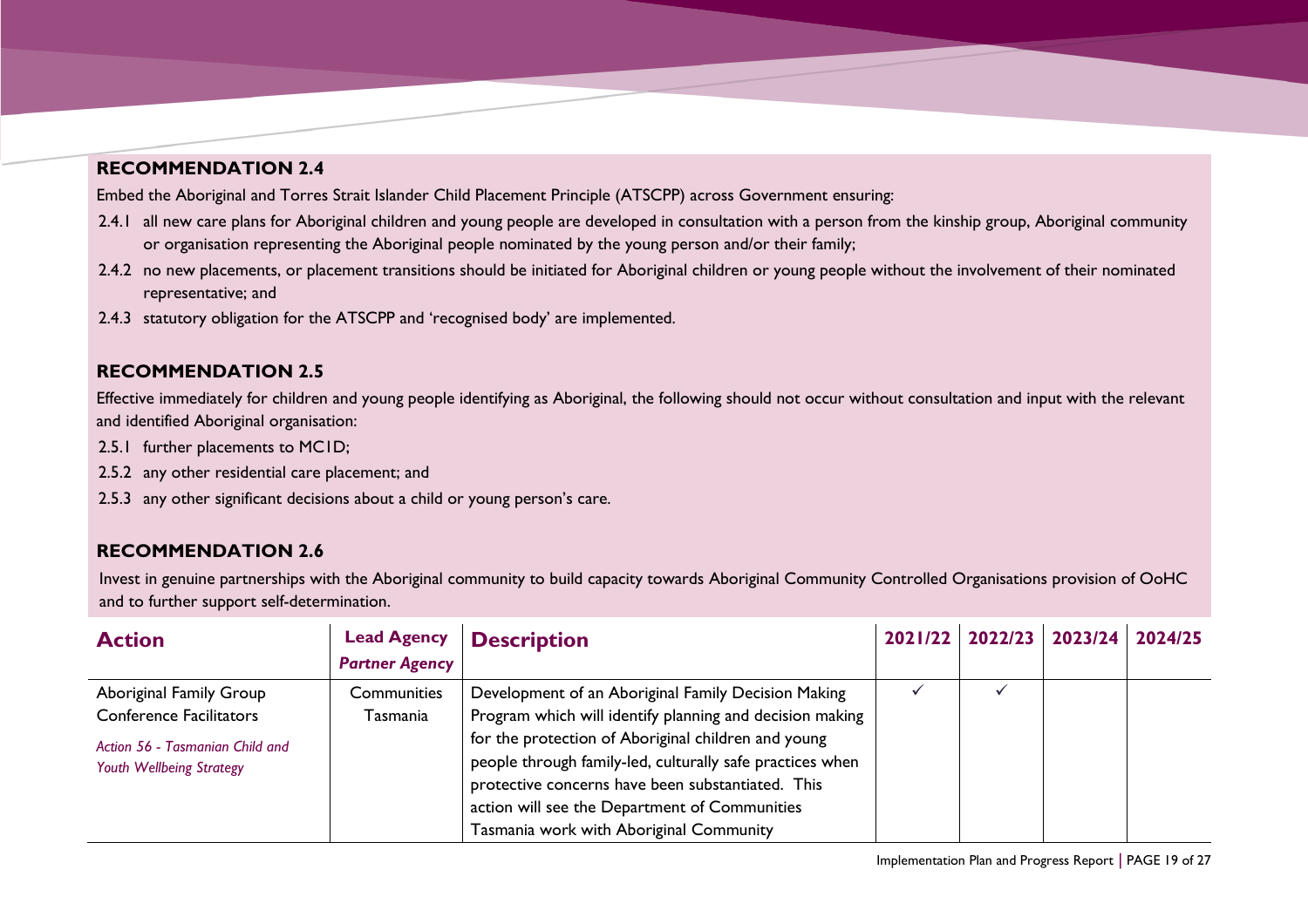### **RECOMMENDATION 2.4**

Embed the Aboriginal and Torres Strait Islander Child Placement Principle (ATSCPP) across Government ensuring:

- 2.4.1 all new care plans for Aboriginal children and young people are developed in consultation with a person from the kinship group, Aboriginal community or organisation representing the Aboriginal people nominated by the young person and/or their family;
- 2.4.2 no new placements, or placement transitions should be initiated for Aboriginal children or young people without the involvement of their nominated representative; and
- 2.4.3 statutory obligation for the ATSCPP and 'recognised body' are implemented.

#### **RECOMMENDATION 2.5**

Effective immediately for children and young people identifying as Aboriginal, the following should not occur without consultation and input with the relevant and identified Aboriginal organisation:

- 2.5.1 further placements to MC1D;
- 2.5.2 any other residential care placement; and
- 2.5.3 any other significant decisions about a child or young person's care.

### **RECOMMENDATION 2.6**

Invest in genuine partnerships with the Aboriginal community to build capacity towards Aboriginal Community Controlled Organisations provision of OoHC and to further support self-determination.

| <b>Action</b>                                               | <b>Lead Agency</b><br><b>Partner Agency</b> | <b>Description</b>                                                                                                                                                                                                                                                |  | 2021/22 2022/23 2023/24 | 2024/25 |
|-------------------------------------------------------------|---------------------------------------------|-------------------------------------------------------------------------------------------------------------------------------------------------------------------------------------------------------------------------------------------------------------------|--|-------------------------|---------|
| Aboriginal Family Group                                     | Communities                                 | Development of an Aboriginal Family Decision Making                                                                                                                                                                                                               |  |                         |         |
| <b>Conference Facilitators</b>                              | Tasmania                                    | Program which will identify planning and decision making                                                                                                                                                                                                          |  |                         |         |
| Action 56 - Tasmanian Child and<br>Youth Wellbeing Strategy |                                             | for the protection of Aboriginal children and young<br>people through family-led, culturally safe practices when<br>protective concerns have been substantiated. This<br>action will see the Department of Communities<br>Tasmania work with Aboriginal Community |  |                         |         |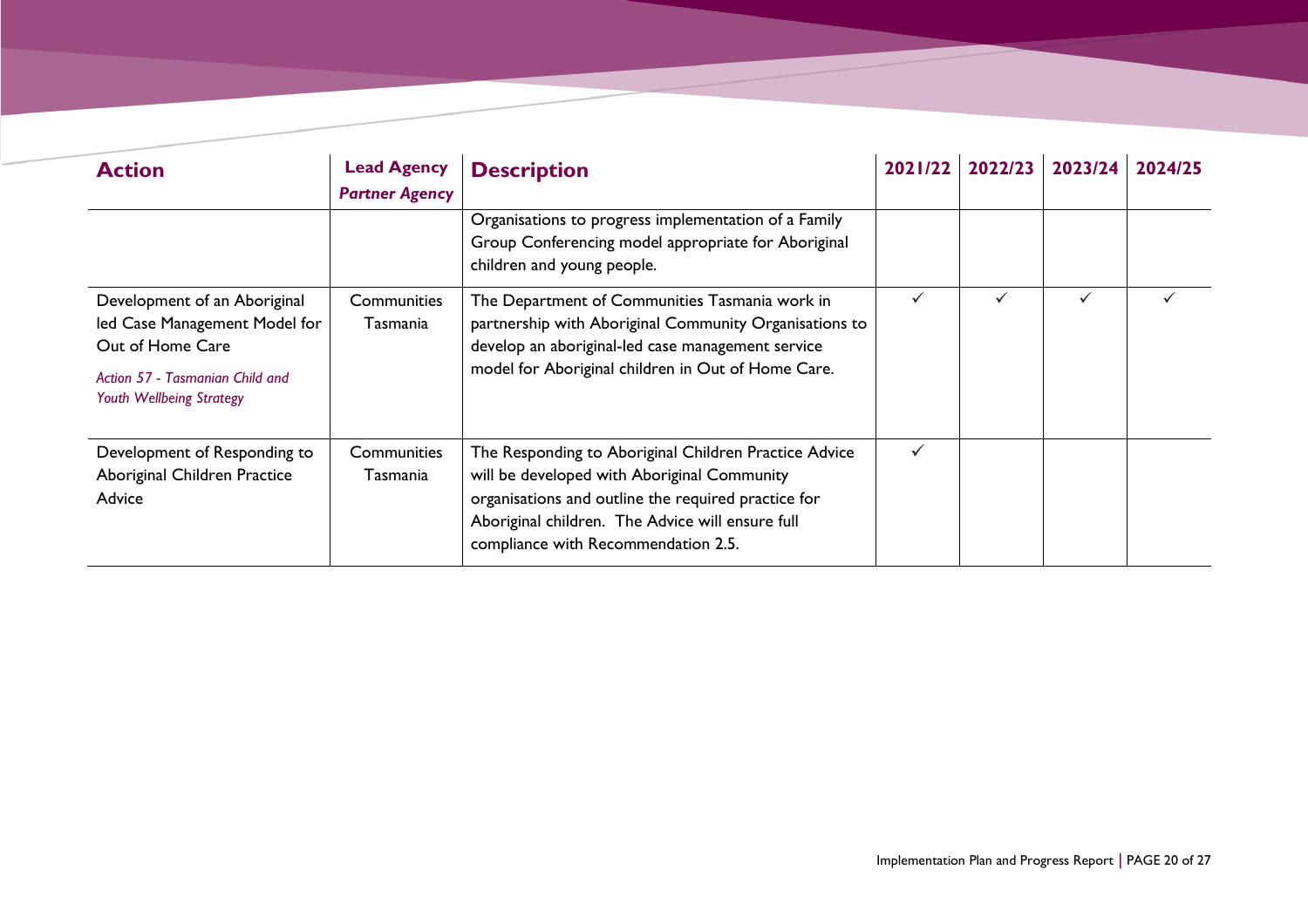| <b>Action</b>                                                                                                                                    | <b>Lead Agency</b><br><b>Partner Agency</b> | <b>Description</b>                                                                                                                                                                                                                                     | 2021/22 | 2022/23 | 2023/24      | 2024/25 |
|--------------------------------------------------------------------------------------------------------------------------------------------------|---------------------------------------------|--------------------------------------------------------------------------------------------------------------------------------------------------------------------------------------------------------------------------------------------------------|---------|---------|--------------|---------|
|                                                                                                                                                  |                                             | Organisations to progress implementation of a Family<br>Group Conferencing model appropriate for Aboriginal<br>children and young people.                                                                                                              |         |         |              |         |
| Development of an Aboriginal<br>led Case Management Model for<br>Out of Home Care<br>Action 57 - Tasmanian Child and<br>Youth Wellbeing Strategy | Communities<br>Tasmania                     | The Department of Communities Tasmania work in<br>partnership with Aboriginal Community Organisations to<br>develop an aboriginal-led case management service<br>model for Aboriginal children in Out of Home Care.                                    | ✓       | ✓       | $\checkmark$ |         |
| Development of Responding to<br>Aboriginal Children Practice<br>Advice                                                                           | Communities<br>Tasmania                     | The Responding to Aboriginal Children Practice Advice<br>will be developed with Aboriginal Community<br>organisations and outline the required practice for<br>Aboriginal children. The Advice will ensure full<br>compliance with Recommendation 2.5. | ✓       |         |              |         |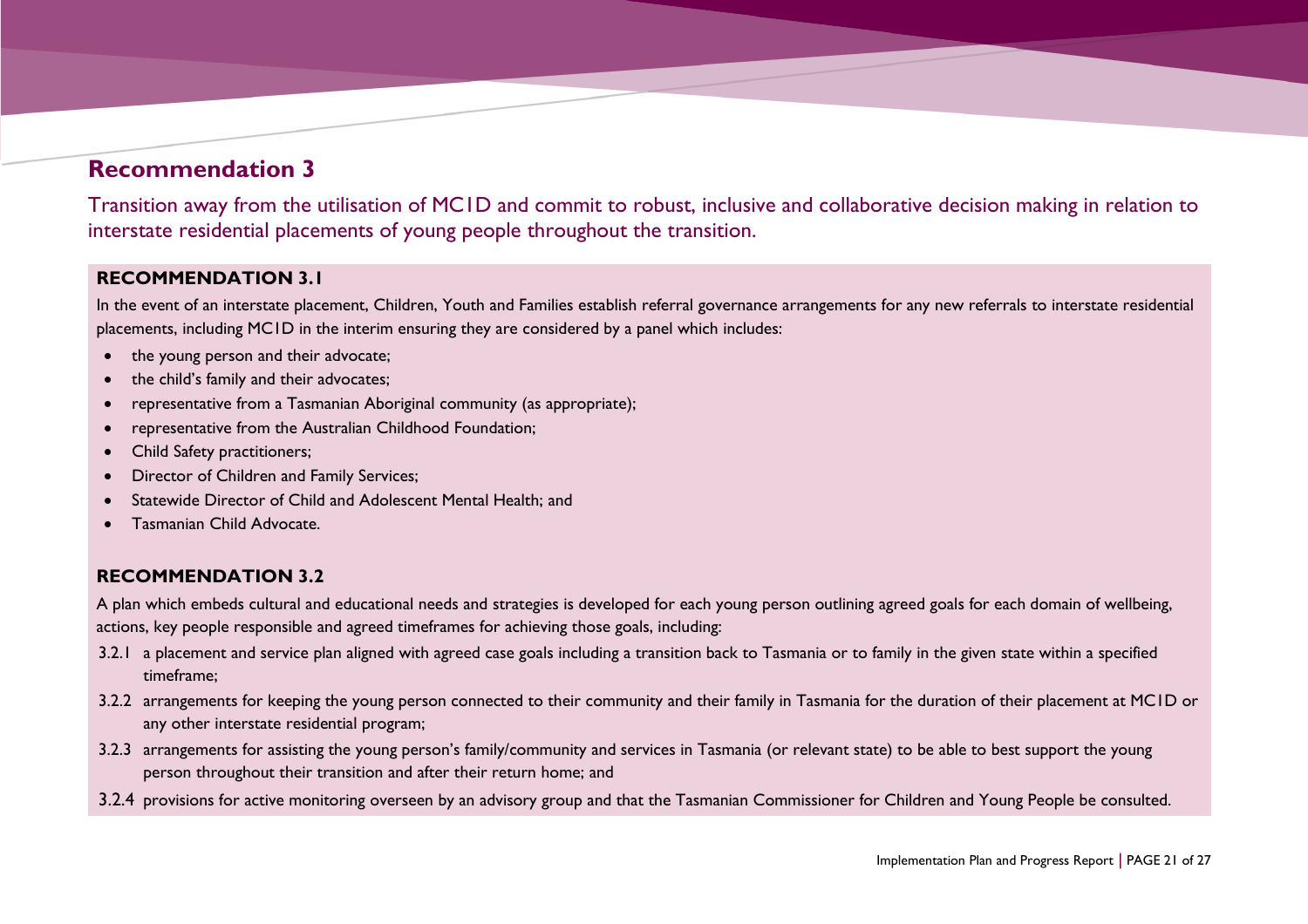## **Recommendation 3**

Transition away from the utilisation of MC1D and commit to robust, inclusive and collaborative decision making in relation to interstate residential placements of young people throughout the transition.

#### **RECOMMENDATION 3.1**

In the event of an interstate placement, Children, Youth and Families establish referral governance arrangements for any new referrals to interstate residential placements, including MC1D in the interim ensuring they are considered by a panel which includes:

- the young person and their advocate;
- the child's family and their advocates;
- representative from a Tasmanian Aboriginal community (as appropriate);
- representative from the Australian Childhood Foundation;
- Child Safety practitioners;
- Director of Children and Family Services;
- Statewide Director of Child and Adolescent Mental Health; and
- <span id="page-20-0"></span>• Tasmanian Child Advocate.

#### **RECOMMENDATION 3.2**

A plan which embeds cultural and educational needs and strategies is developed for each young person outlining agreed goals for each domain of wellbeing, actions, key people responsible and agreed timeframes for achieving those goals, including:

- 3.2.1 a placement and service plan aligned with agreed case goals including a transition back to Tasmania or to family in the given state within a specified timeframe;
- 3.2.2 arrangements for keeping the young person connected to their community and their family in Tasmania for the duration of their placement at MC1D or any other interstate residential program;
- 3.2.3 arrangements for assisting the young person's family/community and services in Tasmania (or relevant state) to be able to best support the young person throughout their transition and after their return home; and
- 3.2.4 provisions for active monitoring overseen by an advisory group and that the Tasmanian Commissioner for Children and Young People be consulted.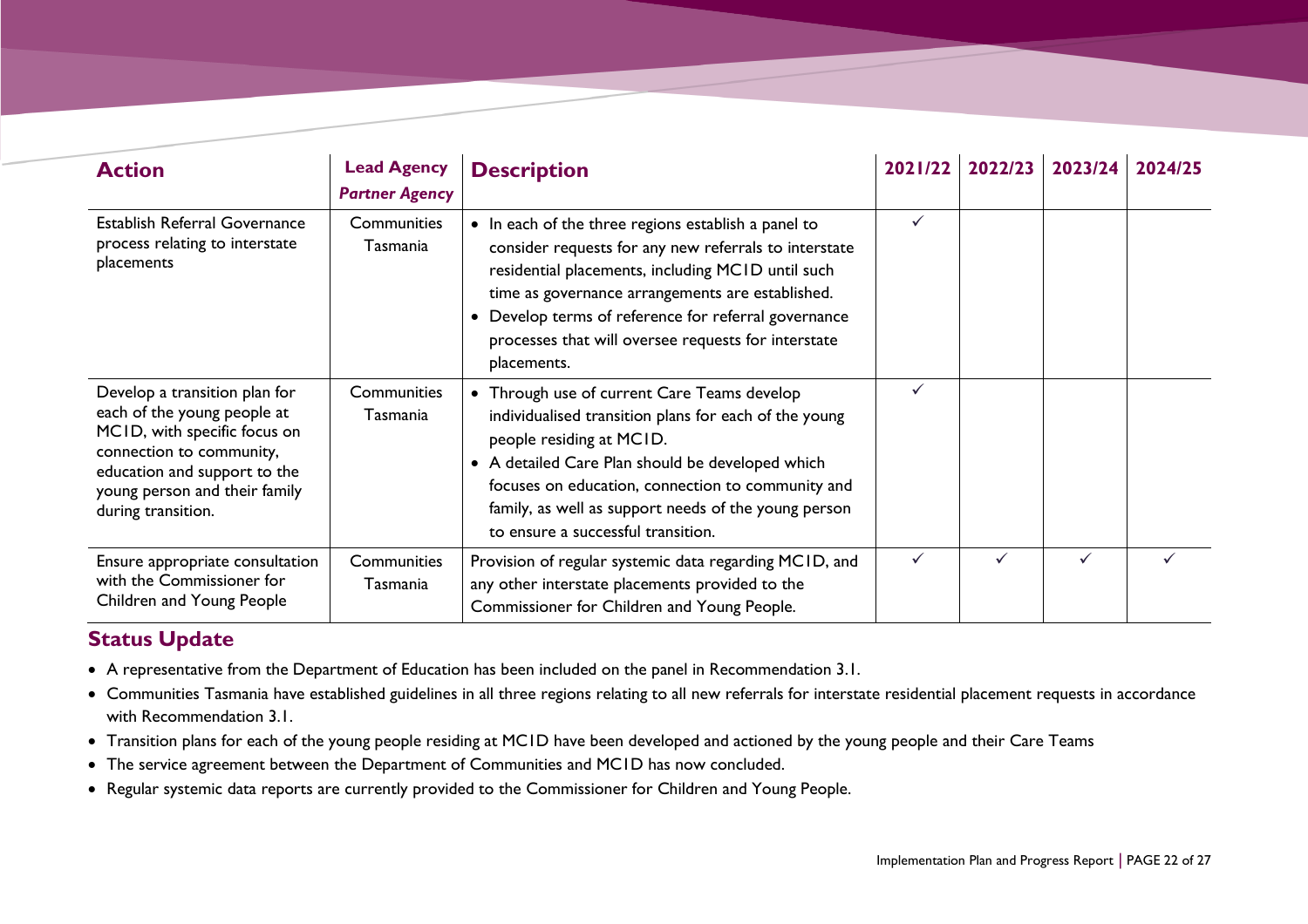| <b>Action</b>                                                                                                                                                                                                   | <b>Lead Agency</b><br><b>Partner Agency</b> | <b>Description</b>                                                                                                                                                                                                                                                                                                                                | 2021/22 | 2022/23 | 2023/24 | 2024/25 |
|-----------------------------------------------------------------------------------------------------------------------------------------------------------------------------------------------------------------|---------------------------------------------|---------------------------------------------------------------------------------------------------------------------------------------------------------------------------------------------------------------------------------------------------------------------------------------------------------------------------------------------------|---------|---------|---------|---------|
| Establish Referral Governance<br>process relating to interstate<br>placements                                                                                                                                   | Communities<br>Tasmania                     | • In each of the three regions establish a panel to<br>consider requests for any new referrals to interstate<br>residential placements, including MCID until such<br>time as governance arrangements are established.<br>Develop terms of reference for referral governance<br>processes that will oversee requests for interstate<br>placements. |         |         |         |         |
| Develop a transition plan for<br>each of the young people at<br>MCID, with specific focus on<br>connection to community,<br>education and support to the<br>young person and their family<br>during transition. | Communities<br>Tasmania                     | • Through use of current Care Teams develop<br>individualised transition plans for each of the young<br>people residing at MCID.<br>• A detailed Care Plan should be developed which<br>focuses on education, connection to community and<br>family, as well as support needs of the young person<br>to ensure a successful transition.           |         |         |         |         |
| Ensure appropriate consultation<br>with the Commissioner for<br>Children and Young People                                                                                                                       | Communities<br>Tasmania                     | Provision of regular systemic data regarding MCID, and<br>any other interstate placements provided to the<br>Commissioner for Children and Young People.                                                                                                                                                                                          |         |         |         |         |

- A representative from the Department of Education has been included on the panel in Recommendation 3.1.
- Communities Tasmania have established guidelines in all three regions relating to all new referrals for interstate residential placement requests in accordance with Recommendation 3.1.
- Transition plans for each of the young people residing at MC1D have been developed and actioned by the young people and their Care Teams
- The service agreement between the Department of Communities and MC1D has now concluded.
- Regular systemic data reports are currently provided to the Commissioner for Children and Young People.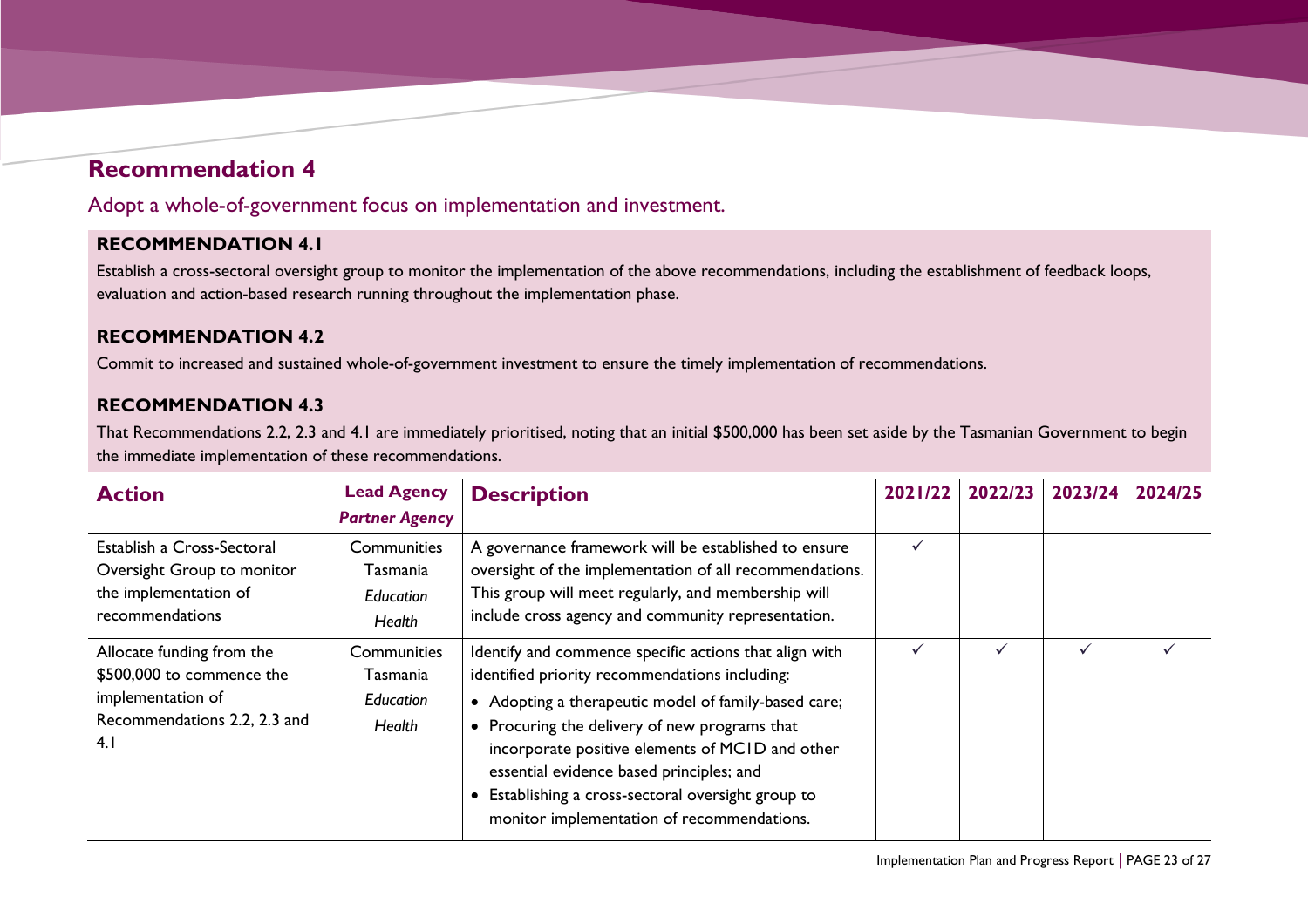## **Recommendation 4**

Adopt a whole-of-government focus on implementation and investment.

### **RECOMMENDATION 4.1**

Establish a cross-sectoral oversight group to monitor the implementation of the above recommendations, including the establishment of feedback loops, evaluation and action-based research running throughout the implementation phase.

#### **RECOMMENDATION 4.2**

Commit to increased and sustained whole-of-government investment to ensure the timely implementation of recommendations.

### **RECOMMENDATION 4.3**

That Recommendations 2.2, 2.3 and 4.1 are immediately prioritised, noting that an initial \$500,000 has been set aside by the Tasmanian Government to begin the immediate implementation of these recommendations.

<span id="page-22-0"></span>

| <b>Action</b>                                                                                                      | <b>Lead Agency</b><br><b>Partner Agency</b>           | <b>Description</b>                                                                                                                                                                                                                                                                                                                                                                                                 | 2021/22 | 2022/23 | 2023/24 | 2024/25 |
|--------------------------------------------------------------------------------------------------------------------|-------------------------------------------------------|--------------------------------------------------------------------------------------------------------------------------------------------------------------------------------------------------------------------------------------------------------------------------------------------------------------------------------------------------------------------------------------------------------------------|---------|---------|---------|---------|
| Establish a Cross-Sectoral<br>Oversight Group to monitor<br>the implementation of<br>recommendations               | Communities<br>Tasmania<br>Education<br>Health        | A governance framework will be established to ensure<br>oversight of the implementation of all recommendations.<br>This group will meet regularly, and membership will<br>include cross agency and community representation.                                                                                                                                                                                       | ✓       |         |         |         |
| Allocate funding from the<br>\$500,000 to commence the<br>implementation of<br>Recommendations 2.2, 2.3 and<br>4.1 | Communities<br>Tasmania<br><b>Education</b><br>Health | Identify and commence specific actions that align with<br>identified priority recommendations including:<br>• Adopting a therapeutic model of family-based care;<br>• Procuring the delivery of new programs that<br>incorporate positive elements of MCID and other<br>essential evidence based principles; and<br>Establishing a cross-sectoral oversight group to<br>monitor implementation of recommendations. |         |         |         |         |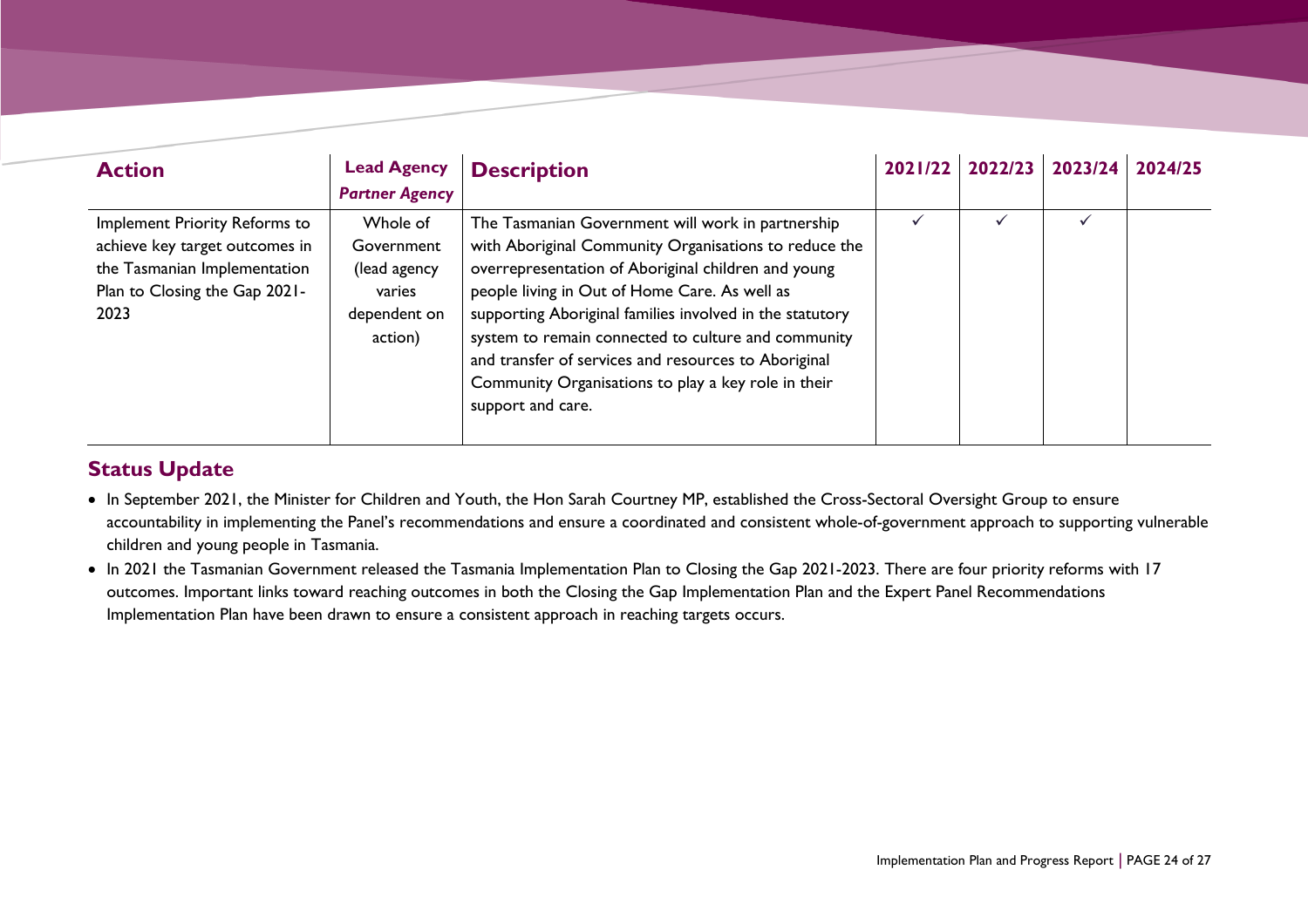| <b>Action</b>                                                                                                                            | <b>Lead Agency</b><br><b>Partner Agency</b>                                 | <b>Description</b>                                                                                                                                                                                                                                                                                                                                                                                                                                                        | 2021/22 2022/23 | 2023/24 | 2024/25 |
|------------------------------------------------------------------------------------------------------------------------------------------|-----------------------------------------------------------------------------|---------------------------------------------------------------------------------------------------------------------------------------------------------------------------------------------------------------------------------------------------------------------------------------------------------------------------------------------------------------------------------------------------------------------------------------------------------------------------|-----------------|---------|---------|
| Implement Priority Reforms to<br>achieve key target outcomes in<br>the Tasmanian Implementation<br>Plan to Closing the Gap 2021-<br>2023 | Whole of<br>Government<br>(lead agency<br>varies<br>dependent on<br>action) | The Tasmanian Government will work in partnership<br>with Aboriginal Community Organisations to reduce the<br>overrepresentation of Aboriginal children and young<br>people living in Out of Home Care. As well as<br>supporting Aboriginal families involved in the statutory<br>system to remain connected to culture and community<br>and transfer of services and resources to Aboriginal<br>Community Organisations to play a key role in their<br>support and care. |                 |         |         |

- In September 2021, the Minister for Children and Youth, the Hon Sarah Courtney MP, established the Cross-Sectoral Oversight Group to ensure accountability in implementing the Panel's recommendations and ensure a coordinated and consistent whole-of-government approach to supporting vulnerable children and young people in Tasmania.
- In 2021 the Tasmanian Government released the Tasmania Implementation Plan to Closing the Gap 2021-2023. There are four priority reforms with 17 outcomes. Important links toward reaching outcomes in both the Closing the Gap Implementation Plan and the Expert Panel Recommendations Implementation Plan have been drawn to ensure a consistent approach in reaching targets occurs.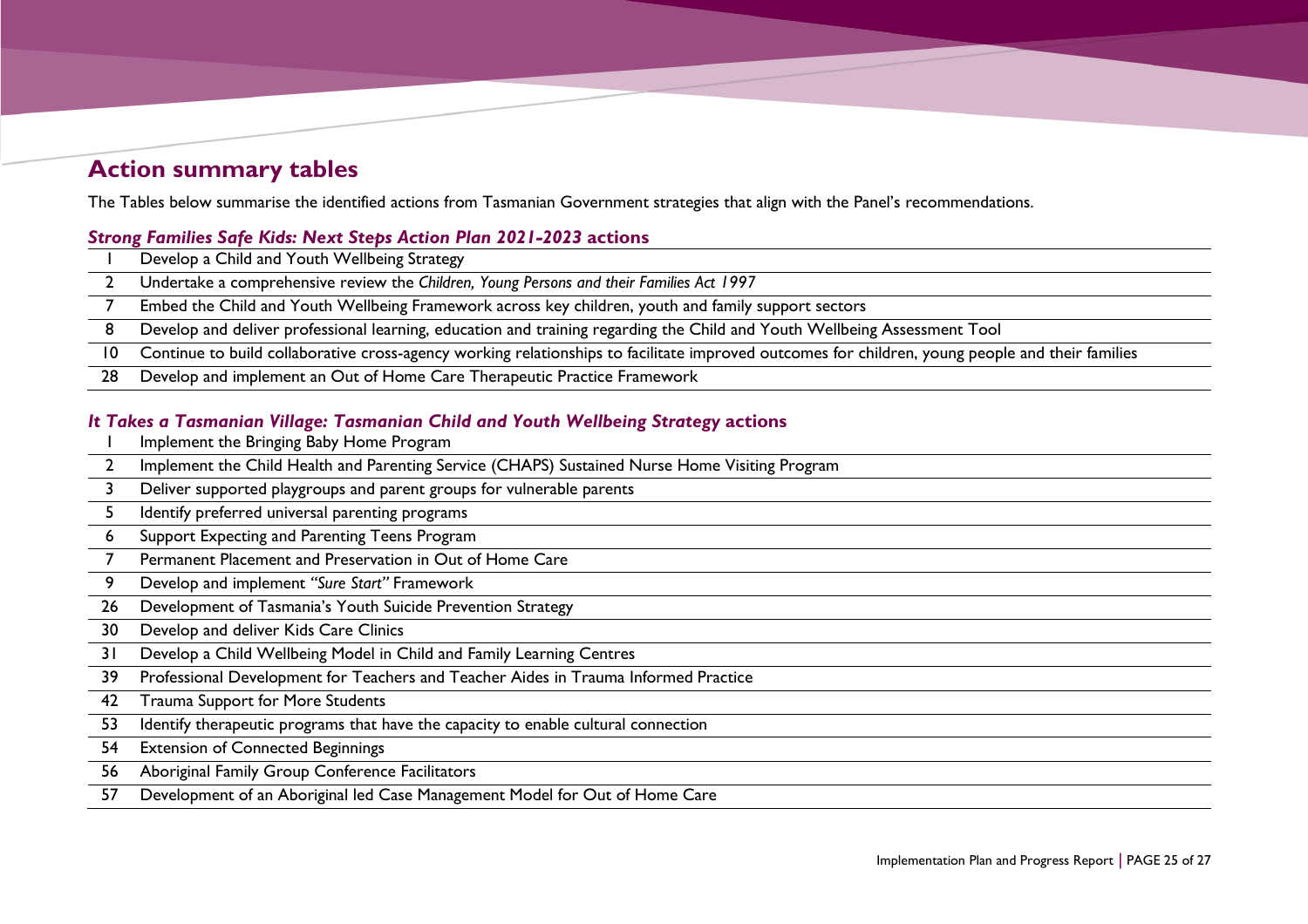## **Action summary tables**

The Tables below summarise the identified actions from Tasmanian Government strategies that align with the Panel's recommendations.

#### *Strong Families Safe Kids: Next Steps Action Plan 2021-2023* **actions**

- Develop a Child and Youth Wellbeing Strategy
- Undertake a comprehensive review the *Children, Young Persons and their Families Act 1997*
- Embed the Child and Youth Wellbeing Framework across key children, youth and family support sectors
- Develop and deliver professional learning, education and training regarding the Child and Youth Wellbeing Assessment Tool
- Continue to build collaborative cross-agency working relationships to facilitate improved outcomes for children, young people and their families
- Develop and implement an Out of Home Care Therapeutic Practice Framework

#### *It Takes a Tasmanian Village: Tasmanian Child and Youth Wellbeing Strategy* **actions**

- Implement the Bringing Baby Home Program
- 2 Implement the Child Health and Parenting Service (CHAPS) Sustained Nurse Home Visiting Program
- Deliver supported playgroups and parent groups for vulnerable parents
- Identify preferred universal parenting programs
- <span id="page-24-0"></span>Support Expecting and Parenting Teens Program
- Permanent Placement and Preservation in Out of Home Care
- Develop and implement *"Sure Start"* Framework
- Development of Tasmania's Youth Suicide Prevention Strategy
- Develop and deliver Kids Care Clinics
- Develop a Child Wellbeing Model in Child and Family Learning Centres
- Professional Development for Teachers and Teacher Aides in Trauma Informed Practice
- Trauma Support for More Students
- Identify therapeutic programs that have the capacity to enable cultural connection
- Extension of Connected Beginnings
- Aboriginal Family Group Conference Facilitators
- Development of an Aboriginal led Case Management Model for Out of Home Care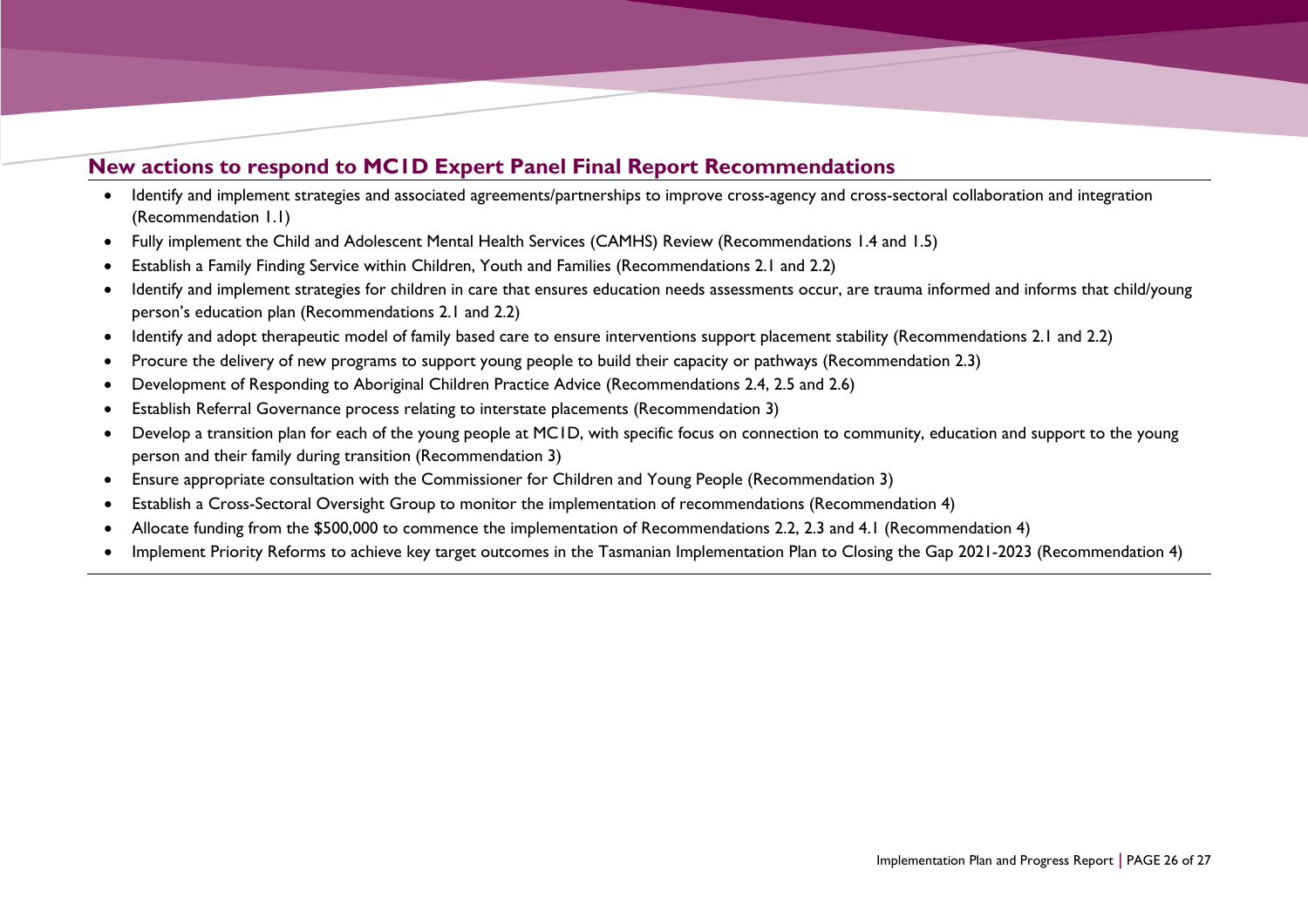## **New actions to respond to MC1D Expert Panel Final Report Recommendations**

- Identify and implement strategies and associated agreements/partnerships to improve cross-agency and cross-sectoral collaboration and integration (Recommendation 1.1)
- Fully implement the Child and Adolescent Mental Health Services (CAMHS) Review (Recommendations 1.4 and 1.5)
- Establish a Family Finding Service within Children, Youth and Families (Recommendations 2.1 and 2.2)
- Identify and implement strategies for children in care that ensures education needs assessments occur, are trauma informed and informs that child/young person's education plan (Recommendations 2.1 and 2.2)
- Identify and adopt therapeutic model of family based care to ensure interventions support placement stability (Recommendations 2.1 and 2.2)
- Procure the delivery of new programs to support young people to build their capacity or pathways (Recommendation 2.3)
- Development of Responding to Aboriginal Children Practice Advice (Recommendations 2.4, 2.5 and 2.6)
- Establish Referral Governance process relating to interstate placements (Recommendation 3)
- Develop a transition plan for each of the young people at MC1D, with specific focus on connection to community, education and support to the young person and their family during transition (Recommendation 3)
- Ensure appropriate consultation with the Commissioner for Children and Young People (Recommendation 3)
- Establish a Cross-Sectoral Oversight Group to monitor the implementation of recommendations (Recommendation 4)
- Allocate funding from the \$500,000 to commence the implementation of Recommendations 2.2, 2.3 and 4.1 (Recommendation 4)
- Implement Priority Reforms to achieve key target outcomes in the Tasmanian Implementation Plan to Closing the Gap 2021-2023 (Recommendation 4)